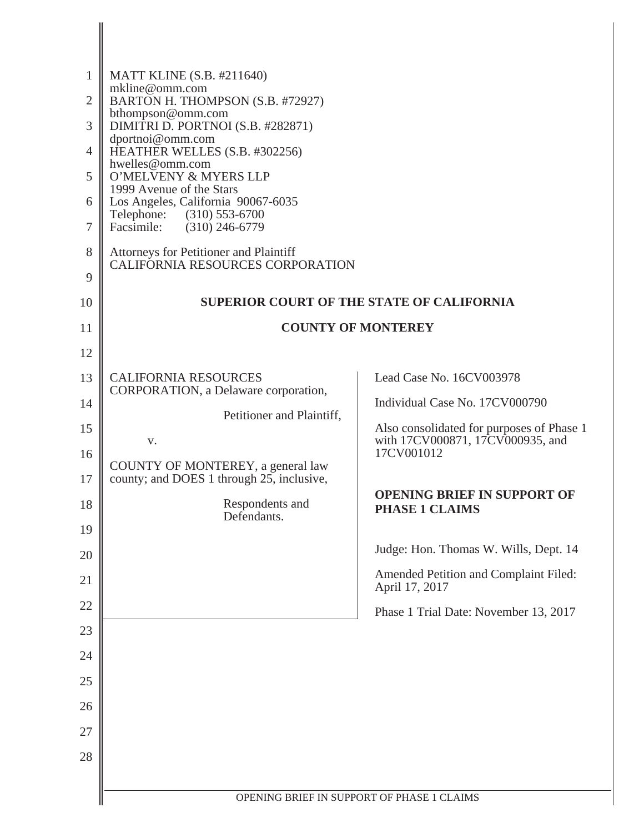| $\mathbf{1}$   | <b>MATT KLINE (S.B. #211640)</b><br>mkline@omm.com                                                |                                                             |
|----------------|---------------------------------------------------------------------------------------------------|-------------------------------------------------------------|
| $\overline{2}$ | BARTON H. THOMPSON (S.B. #72927)<br>bthompson@omm.com                                             |                                                             |
| 3              | DIMITRI D. PORTNOI (S.B. #282871)<br>dportnoi@omm.com                                             |                                                             |
| $\overline{4}$ | HEATHER WELLES (S.B. #302256)<br>hwelles@omm.com                                                  |                                                             |
| 5              | O'MELVENY & MYERS LLP<br>1999 Avenue of the Stars                                                 |                                                             |
| 6<br>$\tau$    | Los Angeles, California 90067-6035<br>Telephone: (310) 553-6700<br>$(310)$ 246-6779<br>Facsimile: |                                                             |
| 8              | Attorneys for Petitioner and Plaintiff                                                            |                                                             |
| 9              | CALIFORNIA RESOURCES CORPORATION                                                                  |                                                             |
| 10             |                                                                                                   | <b>SUPERIOR COURT OF THE STATE OF CALIFORNIA</b>            |
| 11             |                                                                                                   | <b>COUNTY OF MONTEREY</b>                                   |
| 12             |                                                                                                   |                                                             |
| 13             | <b>CALIFORNIA RESOURCES</b>                                                                       | Lead Case No. 16CV003978                                    |
| 14             | CORPORATION, a Delaware corporation,                                                              | Individual Case No. 17CV000790                              |
| 15             | Petitioner and Plaintiff,                                                                         | Also consolidated for purposes of Phase 1                   |
| 16             | V.                                                                                                | with 17CV000871, 17CV000935, and<br>17CV001012              |
| 17             | COUNTY OF MONTEREY, a general law<br>county; and DOES 1 through 25, inclusive,                    |                                                             |
| 18             | Respondents and<br>Defendants.                                                                    | <b>OPENING BRIEF IN SUPPORT OF</b><br><b>PHASE 1 CLAIMS</b> |
| 19             |                                                                                                   | Judge: Hon. Thomas W. Wills, Dept. 14                       |
| 20             |                                                                                                   | Amended Petition and Complaint Filed:                       |
| 21             |                                                                                                   | April 17, 2017                                              |
| 22             |                                                                                                   | Phase 1 Trial Date: November 13, 2017                       |
| 23<br>24       |                                                                                                   |                                                             |
| 25             |                                                                                                   |                                                             |
| 26             |                                                                                                   |                                                             |
| 27             |                                                                                                   |                                                             |
| 28             |                                                                                                   |                                                             |
|                |                                                                                                   |                                                             |
|                |                                                                                                   | OPENING BRIEF IN SUPPORT OF PHASE 1 CLAIMS                  |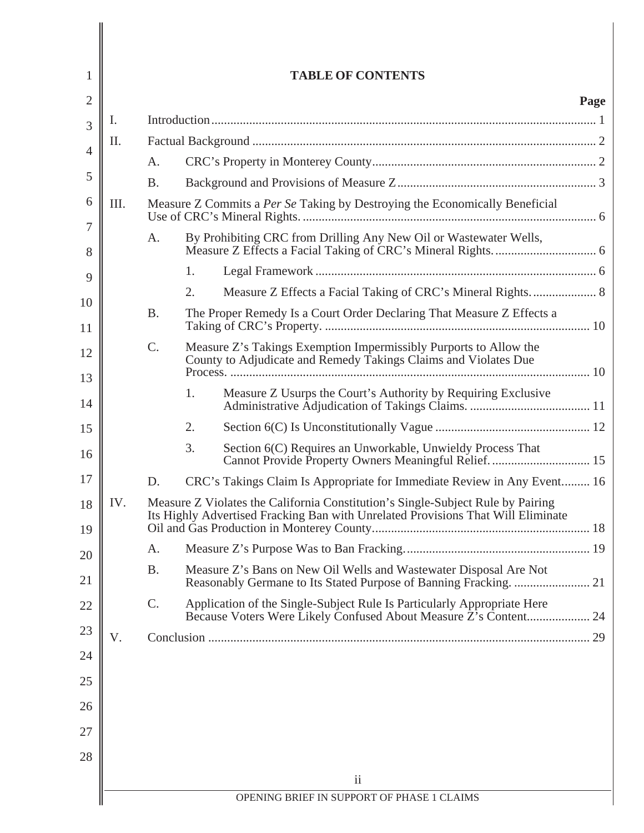|      |           |    | <b>TABLE OF CONTENTS</b>                                                                                                                                            |
|------|-----------|----|---------------------------------------------------------------------------------------------------------------------------------------------------------------------|
|      |           |    |                                                                                                                                                                     |
| Ι.   |           |    |                                                                                                                                                                     |
| II.  |           |    |                                                                                                                                                                     |
|      | A.        |    |                                                                                                                                                                     |
|      | <b>B.</b> |    |                                                                                                                                                                     |
| III. |           |    | Measure Z Commits a Per Se Taking by Destroying the Economically Beneficial                                                                                         |
|      | A.        |    | By Prohibiting CRC from Drilling Any New Oil or Wastewater Wells,                                                                                                   |
|      |           | 1. |                                                                                                                                                                     |
|      |           | 2. | Measure Z Effects a Facial Taking of CRC's Mineral Rights 8                                                                                                         |
|      | <b>B.</b> |    | The Proper Remedy Is a Court Order Declaring That Measure Z Effects a                                                                                               |
|      | C.        |    | Measure Z's Takings Exemption Impermissibly Purports to Allow the<br>County to Adjudicate and Remedy Takings Claims and Violates Due                                |
|      |           | 1. | Measure Z Usurps the Court's Authority by Requiring Exclusive                                                                                                       |
|      |           | 2. |                                                                                                                                                                     |
|      |           | 3. | Section 6(C) Requires an Unworkable, Unwieldy Process That<br>Cannot Provide Property Owners Meaningful Relief.  15                                                 |
|      | D.        |    | CRC's Takings Claim Is Appropriate for Immediate Review in Any Event 16                                                                                             |
| IV.  |           |    | Measure Z Violates the California Constitution's Single-Subject Rule by Pairing<br>Its Highly Advertised Fracking Ban with Unrelated Provisions That Will Eliminate |
|      | A.        |    |                                                                                                                                                                     |
|      | <b>B.</b> |    | Measure Z's Bans on New Oil Wells and Wastewater Disposal Are Not                                                                                                   |
|      | C.        |    | Application of the Single-Subject Rule Is Particularly Appropriate Here<br>Because Voters Were Likely Confused About Measure Z's Content 24                         |
| V.   |           |    |                                                                                                                                                                     |
|      |           |    |                                                                                                                                                                     |
|      |           |    |                                                                                                                                                                     |
|      |           |    |                                                                                                                                                                     |
|      |           |    |                                                                                                                                                                     |
|      |           |    |                                                                                                                                                                     |
|      |           |    |                                                                                                                                                                     |
|      |           |    | $\mathbf{ii}$                                                                                                                                                       |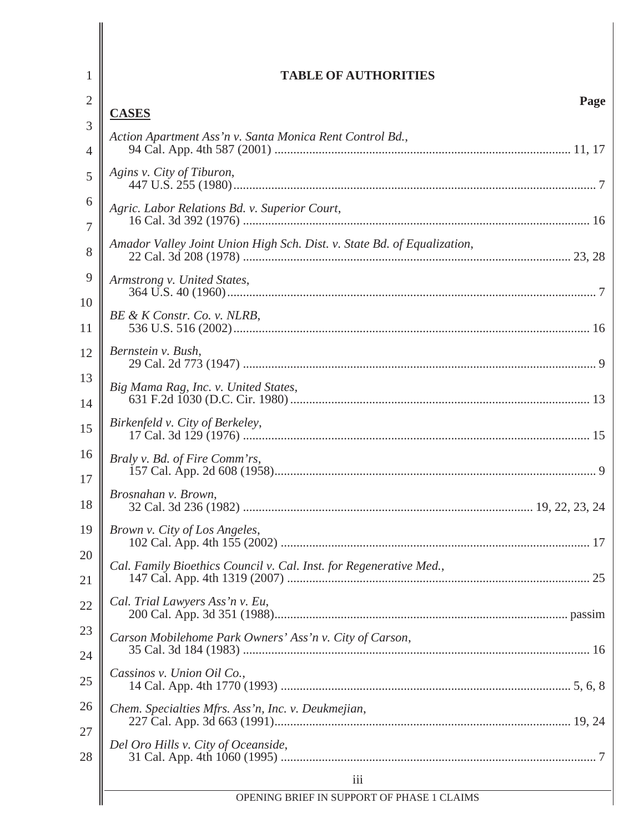| 1        | <b>TABLE OF AUTHORITIES</b>                                              |
|----------|--------------------------------------------------------------------------|
| 2        | Page                                                                     |
| 3        | <b>CASES</b><br>Action Apartment Ass'n v. Santa Monica Rent Control Bd., |
| 4        |                                                                          |
| 5        | Agins v. City of Tiburon,                                                |
| 6<br>7   | Agric. Labor Relations Bd. v. Superior Court,                            |
| 8        | Amador Valley Joint Union High Sch. Dist. v. State Bd. of Equalization,  |
| 9        | Armstrong v. United States,                                              |
| 10<br>11 | BE & K Constr. Co. v. NLRB,                                              |
| 12       | Bernstein v. Bush,                                                       |
| 13<br>14 | Big Mama Rag, Inc. v. United States,                                     |
| 15       | Birkenfeld v. City of Berkeley,                                          |
| 16<br>17 | Braly v. Bd. of Fire Comm'rs,                                            |
| 18       | Brosnahan v. Brown,                                                      |
| 19       | Brown v. City of Los Angeles,                                            |
| 20<br>21 | Cal. Family Bioethics Council v. Cal. Inst. for Regenerative Med.,       |
| 22       | Cal. Trial Lawyers Ass'n v. Eu,                                          |
| 23<br>24 | Carson Mobilehome Park Owners' Ass'n v. City of Carson,                  |
| 25       | Cassinos v. Union Oil Co.,                                               |
| 26       | Chem. Specialties Mfrs. Ass'n, Inc. v. Deukmejian,                       |
| 27<br>28 | Del Oro Hills v. City of Oceanside,                                      |
|          | iii                                                                      |
|          | OPENING BRIEF IN SUPPORT OF PHASE 1 CLAIMS                               |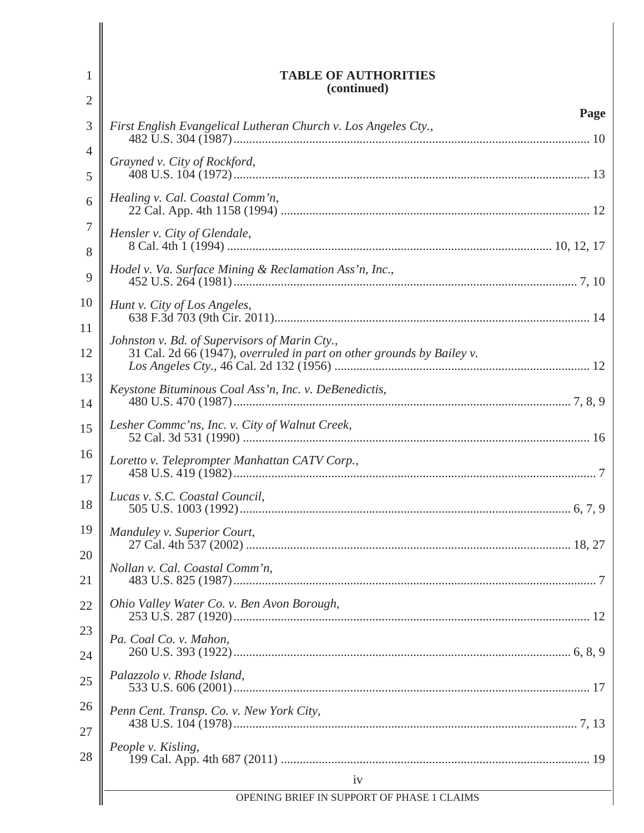| 1              | <b>TABLE OF AUTHORITIES</b><br>(continued)                             |
|----------------|------------------------------------------------------------------------|
| $\overline{2}$ |                                                                        |
| 3              | Page<br>First English Evangelical Lutheran Church v. Los Angeles Cty., |
| 4              | Grayned v. City of Rockford,                                           |
| 5              |                                                                        |
| 6              | Healing v. Cal. Coastal Comm'n,                                        |
| 7<br>8         | Hensler v. City of Glendale,                                           |
| 9              | Hodel v. Va. Surface Mining & Reclamation Ass'n, Inc.,                 |
| 10             | Hunt v. City of Los Angeles,                                           |
| 11             | Johnston v. Bd. of Supervisors of Marin Cty.,                          |
| 12             | 31 Cal. 2d 66 (1947), overruled in part on other grounds by Bailey v.  |
| 13<br>14       | Keystone Bituminous Coal Ass'n, Inc. v. DeBenedictis,                  |
| 15             | Lesher Commc'ns, Inc. v. City of Walnut Creek,                         |
| 16             | Loretto v. Teleprompter Manhattan CATV Corp.,                          |
| 17             |                                                                        |
| 18             | Lucas v. S.C. Coastal Council,                                         |
| 19             | Manduley v. Superior Court,                                            |
| 20             |                                                                        |
| 21             | Nollan v. Cal. Coastal Comm'n,                                         |
| 22             | Ohio Valley Water Co. v. Ben Avon Borough,                             |
| 23             | Pa. Coal Co. v. Mahon,                                                 |
| 24             |                                                                        |
| 25             | Palazzolo v. Rhode Island,                                             |
| 26             | Penn Cent. Transp. Co. v. New York City,                               |
| 27             |                                                                        |
| 28             | People v. Kisling,                                                     |
|                | iv                                                                     |
|                | OPENING BRIEF IN SUPPORT OF PHASE 1 CLAIMS                             |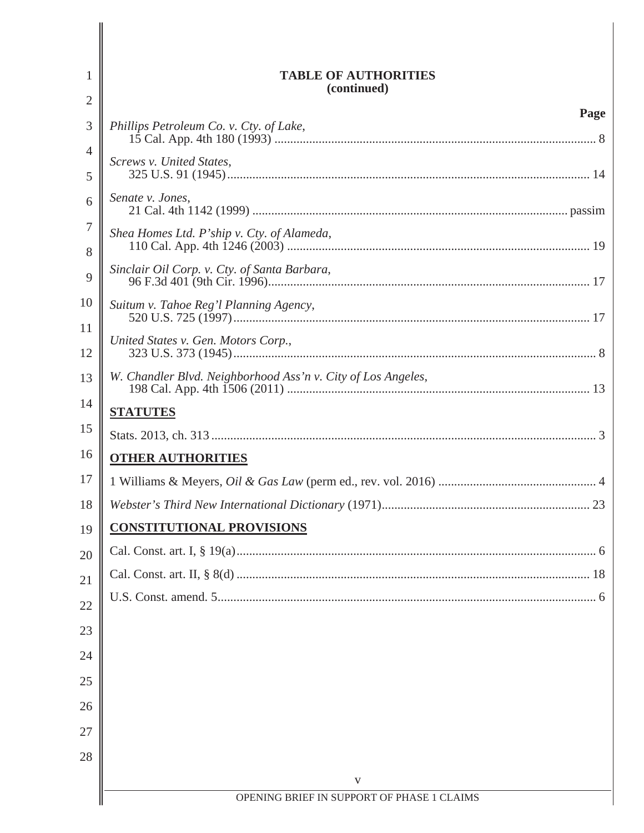| 1                   | <b>TABLE OF AUTHORITIES</b><br>(continued)                   |
|---------------------|--------------------------------------------------------------|
| $\overline{2}$      | Page                                                         |
| 3                   | Phillips Petroleum Co. v. Cty. of Lake,                      |
| $\overline{4}$<br>5 | Screws v. United States,                                     |
| 6                   | Senate v. Jones,                                             |
| 7<br>8              | Shea Homes Ltd. P'ship v. Cty. of Alameda,                   |
| 9                   | Sinclair Oil Corp. v. Cty. of Santa Barbara,                 |
| 10                  | Suitum v. Tahoe Reg'l Planning Agency,                       |
| 11<br>12            | United States v. Gen. Motors Corp.,                          |
| 13                  | W. Chandler Blvd. Neighborhood Ass'n v. City of Los Angeles, |
| 14                  | <b>STATUTES</b>                                              |
| 15                  |                                                              |
| 16                  | <b>OTHER AUTHORITIES</b>                                     |
| 17                  |                                                              |
| 18                  |                                                              |
| 19                  | <b>CONSTITUTIONAL PROVISIONS</b>                             |
| 20                  |                                                              |
| 21                  |                                                              |
| 22                  |                                                              |
| 23                  |                                                              |
| 24                  |                                                              |
| 25                  |                                                              |
| 26                  |                                                              |
| 27                  |                                                              |
| 28                  |                                                              |
|                     | V                                                            |
|                     | OPENING BRIEF IN SUPPORT OF PHASE 1 CLAIMS                   |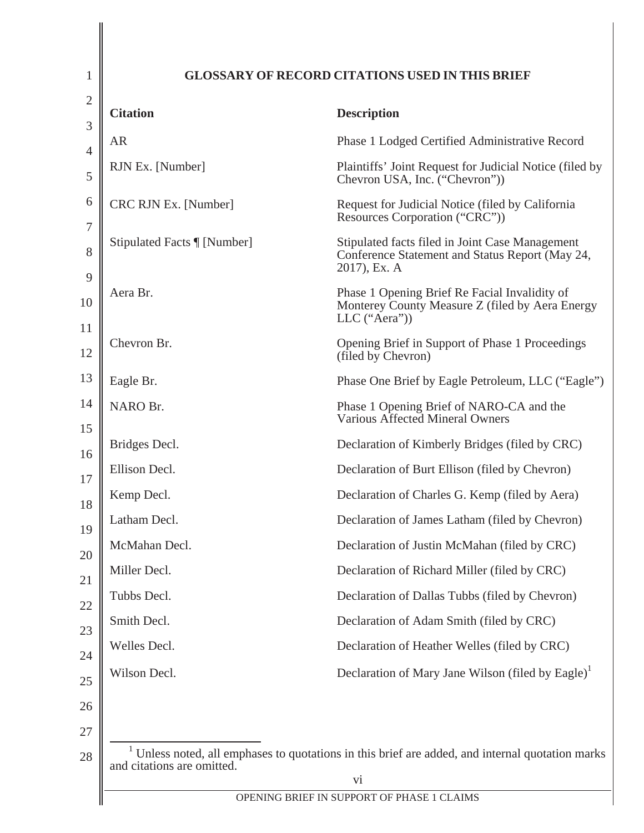| <b>Citation</b>            | <b>Description</b>                                                                                                 |
|----------------------------|--------------------------------------------------------------------------------------------------------------------|
| <b>AR</b>                  | Phase 1 Lodged Certified Administrative Record                                                                     |
| RJN Ex. [Number]           | Plaintiffs' Joint Request for Judicial Notice (filed by<br>Chevron USA, Inc. ("Chevron"))                          |
| CRC RJN Ex. [Number]       | Request for Judicial Notice (filed by California<br>Resources Corporation ("CRC"))                                 |
| Stipulated Facts [[Number] | Stipulated facts filed in Joint Case Management<br>Conference Statement and Status Report (May 24,<br>2017), Ex. A |
| Aera Br.                   | Phase 1 Opening Brief Re Facial Invalidity of<br>Monterey County Measure Z (filed by Aera Energy<br>LLC ("Aera"))  |
| Chevron Br.                | Opening Brief in Support of Phase 1 Proceedings<br>(filed by Chevron)                                              |
| Eagle Br.                  | Phase One Brief by Eagle Petroleum, LLC ("Eagle")                                                                  |
| NARO Br.                   | Phase 1 Opening Brief of NARO-CA and the<br>Various Affected Mineral Owners                                        |
| Bridges Decl.              | Declaration of Kimberly Bridges (filed by CRC)                                                                     |
| Ellison Decl.              | Declaration of Burt Ellison (filed by Chevron)                                                                     |
| Kemp Decl.                 | Declaration of Charles G. Kemp (filed by Aera)                                                                     |
| Latham Decl.               | Declaration of James Latham (filed by Chevron)                                                                     |
| McMahan Decl.              | Declaration of Justin McMahan (filed by CRC)                                                                       |
| Miller Decl.               | Declaration of Richard Miller (filed by CRC)                                                                       |
| Tubbs Decl.                | Declaration of Dallas Tubbs (filed by Chevron)                                                                     |
| Smith Decl.                | Declaration of Adam Smith (filed by CRC)                                                                           |
| Welles Decl.               | Declaration of Heather Welles (filed by CRC)                                                                       |
| Wilson Decl.               | Declaration of Mary Jane Wilson (filed by Eagle) <sup>1</sup>                                                      |
|                            |                                                                                                                    |
| and citations are omitted. | $1$ Unless noted, all emphases to quotations in this brief are added, and internal quotation marks<br>vi           |

 $\overline{\phantom{a}}$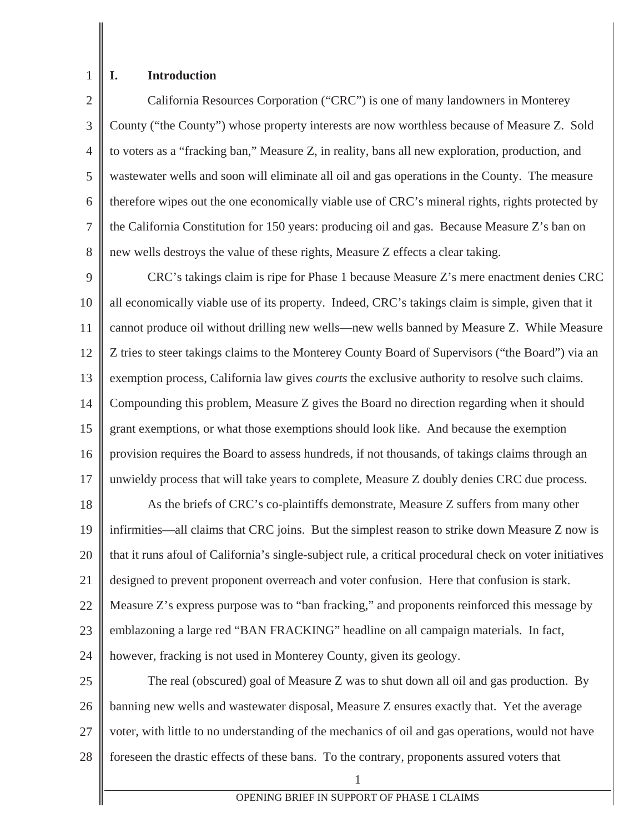## **I. Introduction**

1

2 3 4 5 6 7 8 California Resources Corporation ("CRC") is one of many landowners in Monterey County ("the County") whose property interests are now worthless because of Measure Z. Sold to voters as a "fracking ban," Measure Z, in reality, bans all new exploration, production, and wastewater wells and soon will eliminate all oil and gas operations in the County. The measure therefore wipes out the one economically viable use of CRC's mineral rights, rights protected by the California Constitution for 150 years: producing oil and gas. Because Measure Z's ban on new wells destroys the value of these rights, Measure Z effects a clear taking.

9 10 11 12 13 14 15 16 17 CRC's takings claim is ripe for Phase 1 because Measure Z's mere enactment denies CRC all economically viable use of its property. Indeed, CRC's takings claim is simple, given that it cannot produce oil without drilling new wells—new wells banned by Measure Z. While Measure Z tries to steer takings claims to the Monterey County Board of Supervisors ("the Board") via an exemption process, California law gives *courts* the exclusive authority to resolve such claims. Compounding this problem, Measure Z gives the Board no direction regarding when it should grant exemptions, or what those exemptions should look like. And because the exemption provision requires the Board to assess hundreds, if not thousands, of takings claims through an unwieldy process that will take years to complete, Measure Z doubly denies CRC due process.

18 19 20 21 22 23 24 As the briefs of CRC's co-plaintiffs demonstrate, Measure Z suffers from many other infirmities—all claims that CRC joins. But the simplest reason to strike down Measure Z now is that it runs afoul of California's single-subject rule, a critical procedural check on voter initiatives designed to prevent proponent overreach and voter confusion. Here that confusion is stark. Measure Z's express purpose was to "ban fracking," and proponents reinforced this message by emblazoning a large red "BAN FRACKING" headline on all campaign materials. In fact, however, fracking is not used in Monterey County, given its geology.

25 26 27 28 The real (obscured) goal of Measure Z was to shut down all oil and gas production. By banning new wells and wastewater disposal, Measure Z ensures exactly that. Yet the average voter, with little to no understanding of the mechanics of oil and gas operations, would not have foreseen the drastic effects of these bans. To the contrary, proponents assured voters that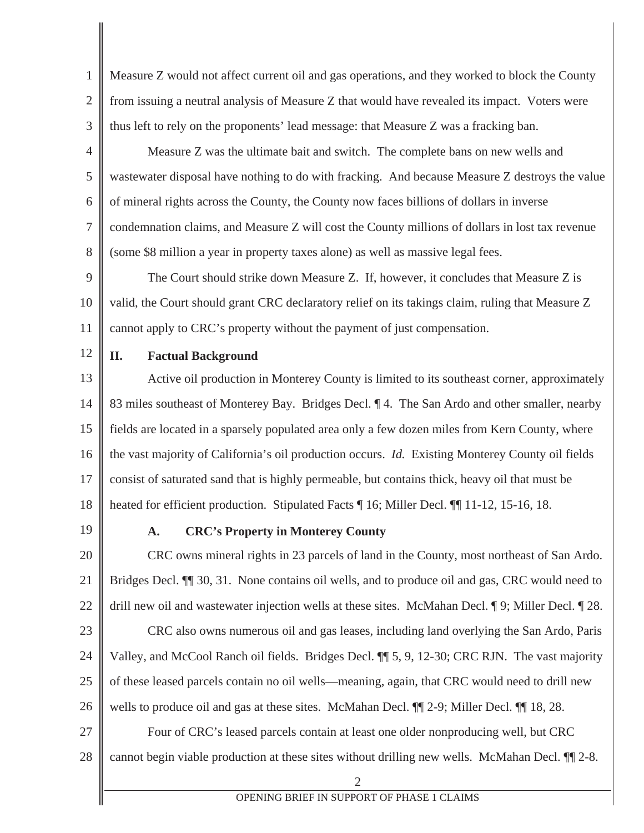1 2 3 Measure Z would not affect current oil and gas operations, and they worked to block the County from issuing a neutral analysis of Measure Z that would have revealed its impact. Voters were thus left to rely on the proponents' lead message: that Measure Z was a fracking ban.

4 5 6 7 8 Measure Z was the ultimate bait and switch. The complete bans on new wells and wastewater disposal have nothing to do with fracking. And because Measure Z destroys the value of mineral rights across the County, the County now faces billions of dollars in inverse condemnation claims, and Measure Z will cost the County millions of dollars in lost tax revenue (some \$8 million a year in property taxes alone) as well as massive legal fees.

9 10 11 The Court should strike down Measure Z. If, however, it concludes that Measure Z is valid, the Court should grant CRC declaratory relief on its takings claim, ruling that Measure Z cannot apply to CRC's property without the payment of just compensation.

12

#### **II. Factual Background**

13 14 15 16 17 18 Active oil production in Monterey County is limited to its southeast corner, approximately 83 miles southeast of Monterey Bay. Bridges Decl. ¶ 4. The San Ardo and other smaller, nearby fields are located in a sparsely populated area only a few dozen miles from Kern County, where the vast majority of California's oil production occurs. *Id.* Existing Monterey County oil fields consist of saturated sand that is highly permeable, but contains thick, heavy oil that must be heated for efficient production. Stipulated Facts ¶ 16; Miller Decl. ¶ 11-12, 15-16, 18.

19

#### **A. CRC's Property in Monterey County**

20 21 22 23 24 25 26 27 CRC owns mineral rights in 23 parcels of land in the County, most northeast of San Ardo. Bridges Decl. ¶¶ 30, 31. None contains oil wells, and to produce oil and gas, CRC would need to drill new oil and wastewater injection wells at these sites. McMahan Decl. ¶ 9; Miller Decl. ¶ 28. CRC also owns numerous oil and gas leases, including land overlying the San Ardo, Paris Valley, and McCool Ranch oil fields. Bridges Decl. ¶¶ 5, 9, 12-30; CRC RJN. The vast majority of these leased parcels contain no oil wells—meaning, again, that CRC would need to drill new wells to produce oil and gas at these sites. McMahan Decl.  $\P\P$  2-9; Miller Decl.  $\P$  18, 28. Four of CRC's leased parcels contain at least one older nonproducing well, but CRC

28 cannot begin viable production at these sites without drilling new wells. McMahan Decl. ¶¶ 2-8.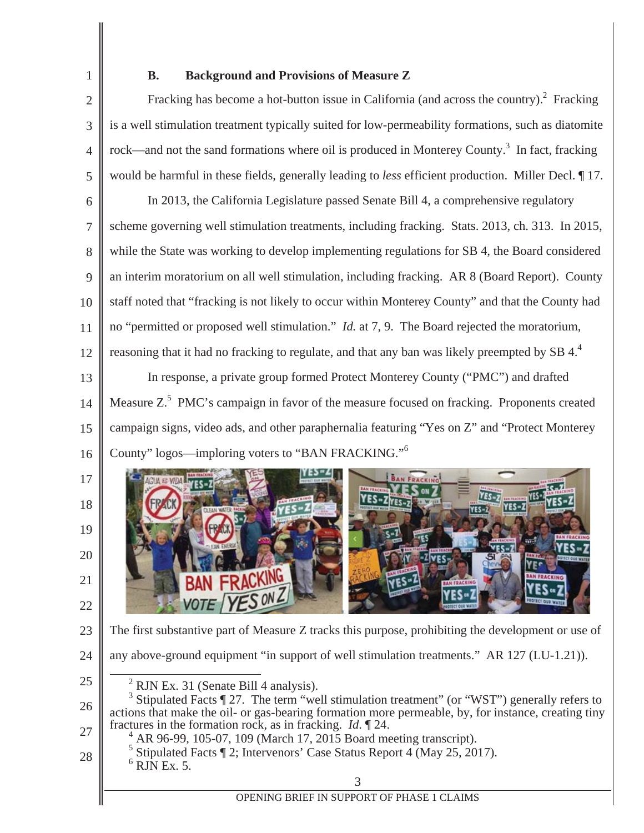1 2

3

4

5

25

28

### **B. Background and Provisions of Measure Z**

Fracking has become a hot-button issue in California (and across the country). $^2$  Fracking is a well stimulation treatment typically suited for low-permeability formations, such as diatomite rock—and not the sand formations where oil is produced in Monterey County.<sup>3</sup> In fact, fracking would be harmful in these fields, generally leading to *less* efficient production. Miller Decl. ¶ 17.

6 7 8 9 10 11 12 13 14 15 In 2013, the California Legislature passed Senate Bill 4, a comprehensive regulatory scheme governing well stimulation treatments, including fracking. Stats. 2013, ch. 313. In 2015, while the State was working to develop implementing regulations for SB 4, the Board considered an interim moratorium on all well stimulation, including fracking. AR 8 (Board Report). County staff noted that "fracking is not likely to occur within Monterey County" and that the County had no "permitted or proposed well stimulation." *Id.* at 7, 9. The Board rejected the moratorium, reasoning that it had no fracking to regulate, and that any ban was likely preempted by SB 4.<sup>4</sup> In response, a private group formed Protect Monterey County ("PMC") and drafted Measure  $Z^5$  PMC's campaign in favor of the measure focused on fracking. Proponents created campaign signs, video ads, and other paraphernalia featuring "Yes on Z" and "Protect Monterey

16 County" logos—imploring voters to "BAN FRACKING."<sup>6</sup>



- 23 The first substantive part of Measure Z tracks this purpose, prohibiting the development or use of
- 24 any above-ground equipment "in support of well stimulation treatments." AR 127 (LU-1.21)).
	- <sup>2</sup> RJN Ex. 31 (Senate Bill 4 analysis).

- AR 96-99, 105-07, 109 (March 17, 2015 Board meeting transcript).
- 5 Stipulated Facts ¶ 2; Intervenors' Case Status Report 4 (May 25, 2017).  $6$  RJN Ex. 5.
	-

<sup>26</sup> 27 <sup>3</sup> Stipulated Facts  $\P$  27. The term "well stimulation treatment" (or "WST") generally refers to actions that make the oil- or gas-bearing formation more permeable, by, for instance, creating tiny fractures in the formation rock, as in fracking. *Id*. ¶ 24. 4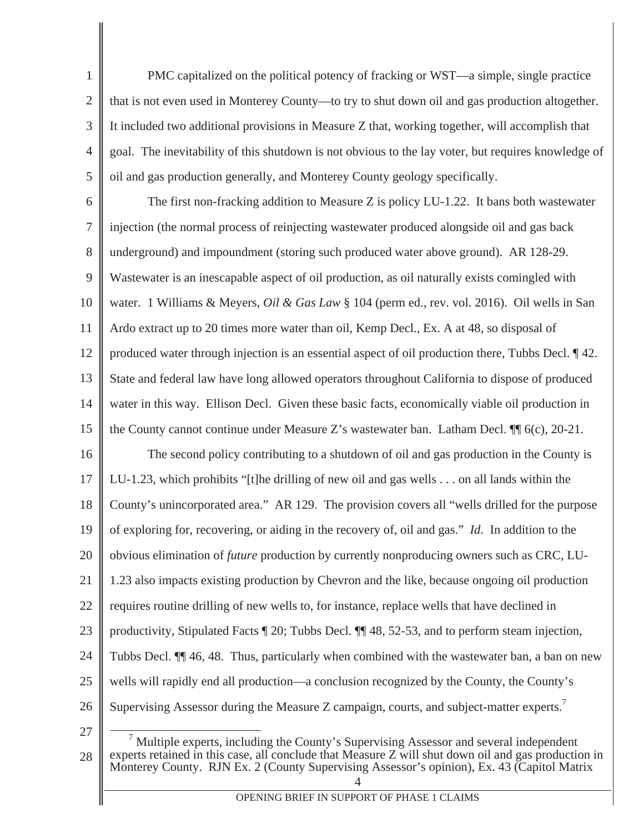2 3 4 5 PMC capitalized on the political potency of fracking or WST—a simple, single practice that is not even used in Monterey County—to try to shut down oil and gas production altogether. It included two additional provisions in Measure Z that, working together, will accomplish that goal. The inevitability of this shutdown is not obvious to the lay voter, but requires knowledge of oil and gas production generally, and Monterey County geology specifically.

6 7 8 9 10 11 12 13 14 15 16 17 18 19 20 21 22 23 24 25 26 The first non-fracking addition to Measure Z is policy LU-1.22. It bans both wastewater injection (the normal process of reinjecting wastewater produced alongside oil and gas back underground) and impoundment (storing such produced water above ground). AR 128-29. Wastewater is an inescapable aspect of oil production, as oil naturally exists comingled with water. 1 Williams & Meyers, *Oil & Gas Law* § 104 (perm ed., rev. vol. 2016). Oil wells in San Ardo extract up to 20 times more water than oil, Kemp Decl., Ex. A at 48, so disposal of produced water through injection is an essential aspect of oil production there, Tubbs Decl. ¶ 42. State and federal law have long allowed operators throughout California to dispose of produced water in this way. Ellison Decl. Given these basic facts, economically viable oil production in the County cannot continue under Measure Z's wastewater ban. Latham Decl. ¶¶ 6(c), 20-21. The second policy contributing to a shutdown of oil and gas production in the County is LU-1.23, which prohibits "[t]he drilling of new oil and gas wells . . . on all lands within the County's unincorporated area." AR 129. The provision covers all "wells drilled for the purpose of exploring for, recovering, or aiding in the recovery of, oil and gas." *Id.* In addition to the obvious elimination of *future* production by currently nonproducing owners such as CRC, LU-1.23 also impacts existing production by Chevron and the like, because ongoing oil production requires routine drilling of new wells to, for instance, replace wells that have declined in productivity, Stipulated Facts ¶ 20; Tubbs Decl. ¶¶ 48, 52-53, and to perform steam injection, Tubbs Decl. ¶¶ 46, 48. Thus, particularly when combined with the wastewater ban, a ban on new wells will rapidly end all production—a conclusion recognized by the County, the County's Supervising Assessor during the Measure Z campaign, courts, and subject-matter experts.<sup>7</sup>

27

1

<sup>4</sup> 28 7 Multiple experts, including the County's Supervising Assessor and several independent experts retained in this case, all conclude that Measure Z will shut down oil and gas production in Monterey County. RJN Ex. 2 (County Supervising Assessor's opinion), Ex. 43 (Capitol Matrix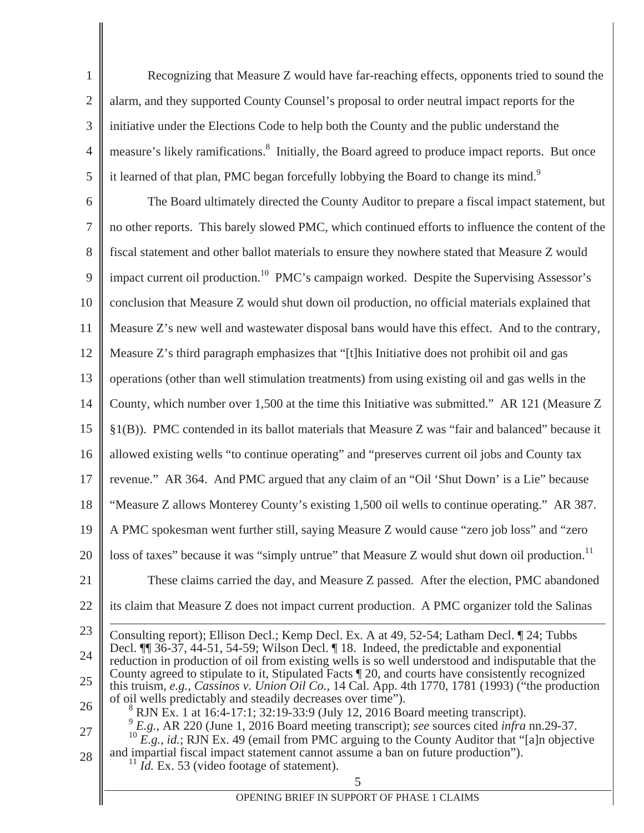1 2 3 4 5 Recognizing that Measure Z would have far-reaching effects, opponents tried to sound the alarm, and they supported County Counsel's proposal to order neutral impact reports for the initiative under the Elections Code to help both the County and the public understand the measure's likely ramifications.<sup>8</sup> Initially, the Board agreed to produce impact reports. But once it learned of that plan, PMC began forcefully lobbying the Board to change its mind.<sup>9</sup>

6 7 8 9 10 11 12 13 14 15 16 17 18 19 20 21 22 23 24 25 26 27 28 The Board ultimately directed the County Auditor to prepare a fiscal impact statement, but no other reports. This barely slowed PMC, which continued efforts to influence the content of the fiscal statement and other ballot materials to ensure they nowhere stated that Measure Z would impact current oil production.<sup>10</sup> PMC's campaign worked. Despite the Supervising Assessor's conclusion that Measure Z would shut down oil production, no official materials explained that Measure Z's new well and wastewater disposal bans would have this effect. And to the contrary, Measure Z's third paragraph emphasizes that "[t]his Initiative does not prohibit oil and gas operations (other than well stimulation treatments) from using existing oil and gas wells in the County, which number over 1,500 at the time this Initiative was submitted." AR 121 (Measure Z §1(B)). PMC contended in its ballot materials that Measure Z was "fair and balanced" because it allowed existing wells "to continue operating" and "preserves current oil jobs and County tax revenue." AR 364. And PMC argued that any claim of an "Oil 'Shut Down' is a Lie" because "Measure Z allows Monterey County's existing 1,500 oil wells to continue operating." AR 387. A PMC spokesman went further still, saying Measure Z would cause "zero job loss" and "zero loss of taxes" because it was "simply untrue" that Measure Z would shut down oil production.<sup>11</sup> These claims carried the day, and Measure Z passed. After the election, PMC abandoned its claim that Measure Z does not impact current production. A PMC organizer told the Salinas Consulting report); Ellison Decl.; Kemp Decl. Ex. A at 49, 52-54; Latham Decl. ¶ 24; Tubbs Decl. ¶¶ 36-37, 44-51, 54-59; Wilson Decl. ¶ 18. Indeed, the predictable and exponential reduction in production of oil from existing wells is so well understood and indisputable that the County agreed to stipulate to it, Stipulated Facts ¶ 20, and courts have consistently recognized this truism, *e.g.*, *Cassinos v. Union Oil Co.*, 14 Cal. App. 4th 1770, 1781 (1993) ("the production of oil wells predictably and steadily decreases over time"). 8 <sup>8</sup> RJN Ex. 1 at 16:4-17:1; 32:19-33:9 (July 12, 2016 Board meeting transcript). <sup>9</sup> *E.g.*, AR 220 (June 1, 2016 Board meeting transcript); *see* sources cited *infra* nn.29-37. <sup>10</sup> *E.g.*, *id.*; RJN Ex. 49 (email from PMC arguing to the County Auditor that "[a]n objective and impartial fiscal impact statement cannot assume a ban on future production"). <sup>11</sup> *Id.* Ex. 53 (video footage of statement).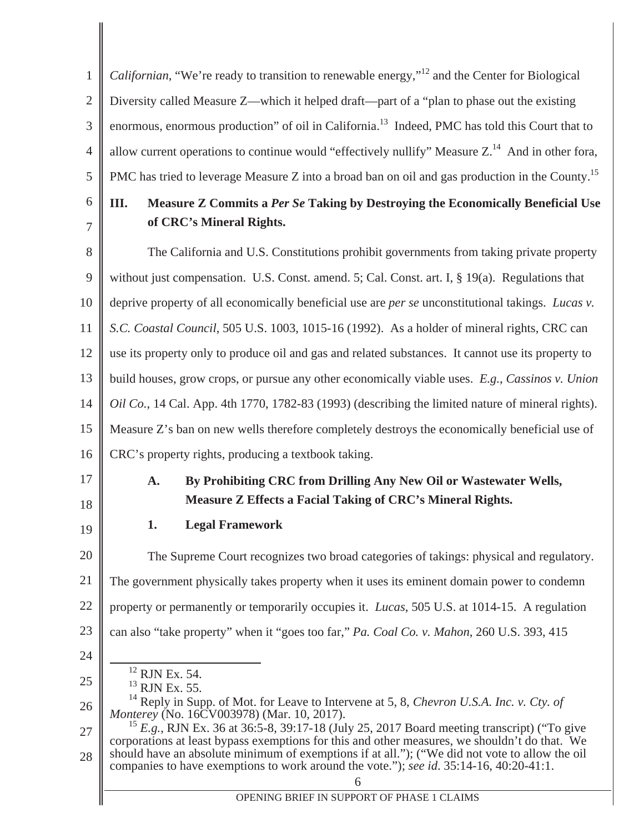1 2 3 4 5 6 7 8 9 10 11 12 13 14 15 16 17 18 19 *Californian*, "We're ready to transition to renewable energy,"<sup>12</sup> and the Center for Biological Diversity called Measure Z—which it helped draft—part of a "plan to phase out the existing enormous, enormous production" of oil in California.<sup>13</sup> Indeed, PMC has told this Court that to allow current operations to continue would "effectively nullify" Measure  $Z<sup>14</sup>$  And in other fora, PMC has tried to leverage Measure  $Z$  into a broad ban on oil and gas production in the County.<sup>15</sup> **III. Measure Z Commits a** *Per Se* **Taking by Destroying the Economically Beneficial Use of CRC's Mineral Rights.**  The California and U.S. Constitutions prohibit governments from taking private property without just compensation. U.S. Const. amend. 5; Cal. Const. art. I, § 19(a). Regulations that deprive property of all economically beneficial use are *per se* unconstitutional takings. *Lucas v. S.C. Coastal Council*, 505 U.S. 1003, 1015-16 (1992). As a holder of mineral rights, CRC can use its property only to produce oil and gas and related substances. It cannot use its property to build houses, grow crops, or pursue any other economically viable uses. *E.g.*, *Cassinos v. Union Oil Co.*, 14 Cal. App. 4th 1770, 1782-83 (1993) (describing the limited nature of mineral rights). Measure Z's ban on new wells therefore completely destroys the economically beneficial use of CRC's property rights, producing a textbook taking. **A. By Prohibiting CRC from Drilling Any New Oil or Wastewater Wells, Measure Z Effects a Facial Taking of CRC's Mineral Rights. 1. Legal Framework** 

20 21 22 23 The Supreme Court recognizes two broad categories of takings: physical and regulatory. The government physically takes property when it uses its eminent domain power to condemn property or permanently or temporarily occupies it. *Lucas*, 505 U.S. at 1014-15. A regulation can also "take property" when it "goes too far," *Pa. Coal Co. v. Mahon*, 260 U.S. 393, 415

12 RJN Ex. 54.

24

25

 $^{13}$  RJN Ex. 55.

26 14 Reply in Supp. of Mot. for Leave to Intervene at 5, 8, *Chevron U.S.A. Inc. v. Cty. of Monterey* (No. 16CV003978) (Mar. 10, 2017).

27 28 <sup>15</sup> *E.g.*, RJN Ex. 36 at 36:5-8, 39:17-18 (July 25, 2017 Board meeting transcript) ("To give corporations at least bypass exemptions for this and other measures, we shouldn't do that. We should have an absolute minimum of exemptions if at all."); ("We did not vote to allow the oil companies to have exemptions to work around the vote."); *see id*. 35:14-16, 40:20-41:1.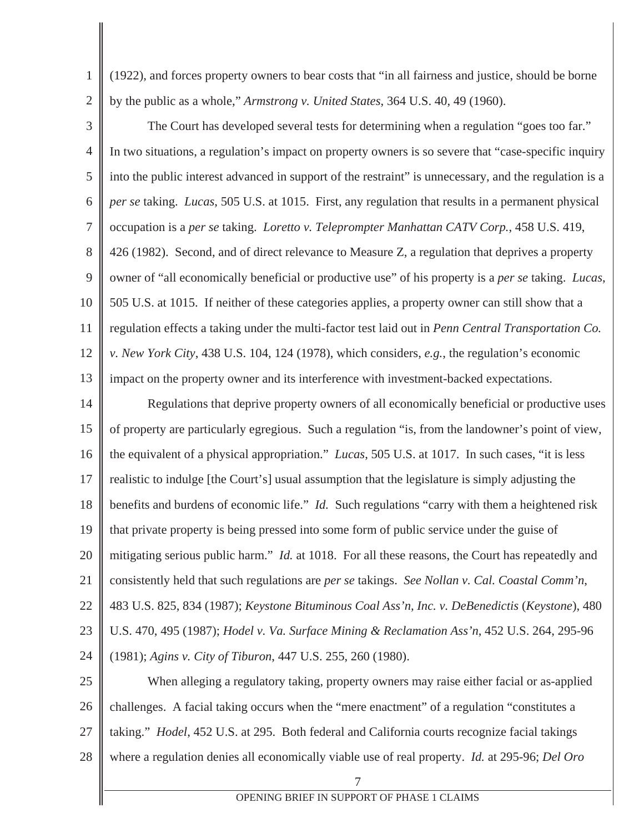(1922), and forces property owners to bear costs that "in all fairness and justice, should be borne by the public as a whole," *Armstrong v. United States*, 364 U.S. 40, 49 (1960).

1

2

3 4 5 6 7 8 9 10 11 12 13 The Court has developed several tests for determining when a regulation "goes too far." In two situations, a regulation's impact on property owners is so severe that "case-specific inquiry into the public interest advanced in support of the restraint" is unnecessary, and the regulation is a *per se* taking. *Lucas*, 505 U.S. at 1015. First, any regulation that results in a permanent physical occupation is a *per se* taking. *Loretto v. Teleprompter Manhattan CATV Corp.*, 458 U.S. 419, 426 (1982). Second, and of direct relevance to Measure Z, a regulation that deprives a property owner of "all economically beneficial or productive use" of his property is a *per se* taking. *Lucas*, 505 U.S. at 1015. If neither of these categories applies, a property owner can still show that a regulation effects a taking under the multi-factor test laid out in *Penn Central Transportation Co. v. New York City*, 438 U.S. 104, 124 (1978), which considers, *e.g.*, the regulation's economic impact on the property owner and its interference with investment-backed expectations.

14 15 16 17 18 19 20 21 22 23 24 Regulations that deprive property owners of all economically beneficial or productive uses of property are particularly egregious. Such a regulation "is, from the landowner's point of view, the equivalent of a physical appropriation." *Lucas*, 505 U.S. at 1017. In such cases, "it is less realistic to indulge [the Court's] usual assumption that the legislature is simply adjusting the benefits and burdens of economic life." *Id.* Such regulations "carry with them a heightened risk that private property is being pressed into some form of public service under the guise of mitigating serious public harm." *Id.* at 1018. For all these reasons, the Court has repeatedly and consistently held that such regulations are *per se* takings. *See Nollan v. Cal. Coastal Comm'n*, 483 U.S. 825, 834 (1987); *Keystone Bituminous Coal Ass'n, Inc. v. DeBenedictis* (*Keystone*), 480 U.S. 470, 495 (1987); *Hodel v. Va. Surface Mining & Reclamation Ass'n*, 452 U.S. 264, 295-96 (1981); *Agins v. City of Tiburon*, 447 U.S. 255, 260 (1980).

25 26 27 28 When alleging a regulatory taking, property owners may raise either facial or as-applied challenges. A facial taking occurs when the "mere enactment" of a regulation "constitutes a taking." *Hodel*, 452 U.S. at 295. Both federal and California courts recognize facial takings where a regulation denies all economically viable use of real property. *Id.* at 295-96; *Del Oro*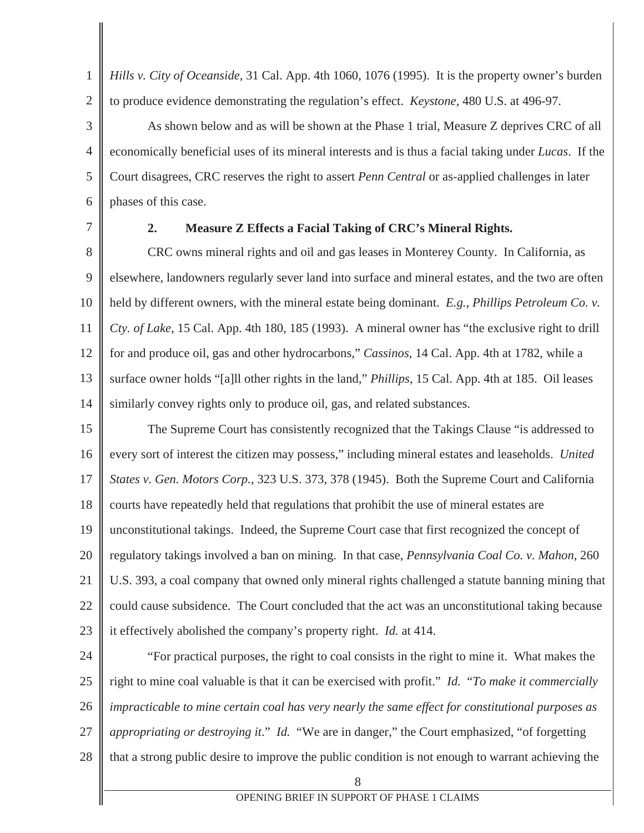1 2 *Hills v. City of Oceanside*, 31 Cal. App. 4th 1060, 1076 (1995). It is the property owner's burden to produce evidence demonstrating the regulation's effect. *Keystone*, 480 U.S. at 496-97.

As shown below and as will be shown at the Phase 1 trial, Measure Z deprives CRC of all economically beneficial uses of its mineral interests and is thus a facial taking under *Lucas*. If the Court disagrees, CRC reserves the right to assert *Penn Central* or as-applied challenges in later phases of this case.

7

3

4

5

6

#### **2. Measure Z Effects a Facial Taking of CRC's Mineral Rights.**

8 9 10 11 12 13 14 CRC owns mineral rights and oil and gas leases in Monterey County. In California, as elsewhere, landowners regularly sever land into surface and mineral estates, and the two are often held by different owners, with the mineral estate being dominant. *E.g.*, *Phillips Petroleum Co. v. Cty. of Lake*, 15 Cal. App. 4th 180, 185 (1993). A mineral owner has "the exclusive right to drill for and produce oil, gas and other hydrocarbons," *Cassinos*, 14 Cal. App. 4th at 1782, while a surface owner holds "[a]ll other rights in the land," *Phillips*, 15 Cal. App. 4th at 185. Oil leases similarly convey rights only to produce oil, gas, and related substances.

15 16 17 18 19 20 21 22 23 The Supreme Court has consistently recognized that the Takings Clause "is addressed to every sort of interest the citizen may possess," including mineral estates and leaseholds. *United States v. Gen. Motors Corp.*, 323 U.S. 373, 378 (1945). Both the Supreme Court and California courts have repeatedly held that regulations that prohibit the use of mineral estates are unconstitutional takings. Indeed, the Supreme Court case that first recognized the concept of regulatory takings involved a ban on mining. In that case, *Pennsylvania Coal Co. v. Mahon*, 260 U.S. 393, a coal company that owned only mineral rights challenged a statute banning mining that could cause subsidence. The Court concluded that the act was an unconstitutional taking because it effectively abolished the company's property right. *Id.* at 414.

24 25 26 27 28 "For practical purposes, the right to coal consists in the right to mine it. What makes the right to mine coal valuable is that it can be exercised with profit." *Id.* "*To make it commercially impracticable to mine certain coal has very nearly the same effect for constitutional purposes as appropriating or destroying it*." *Id.* "We are in danger," the Court emphasized, "of forgetting that a strong public desire to improve the public condition is not enough to warrant achieving the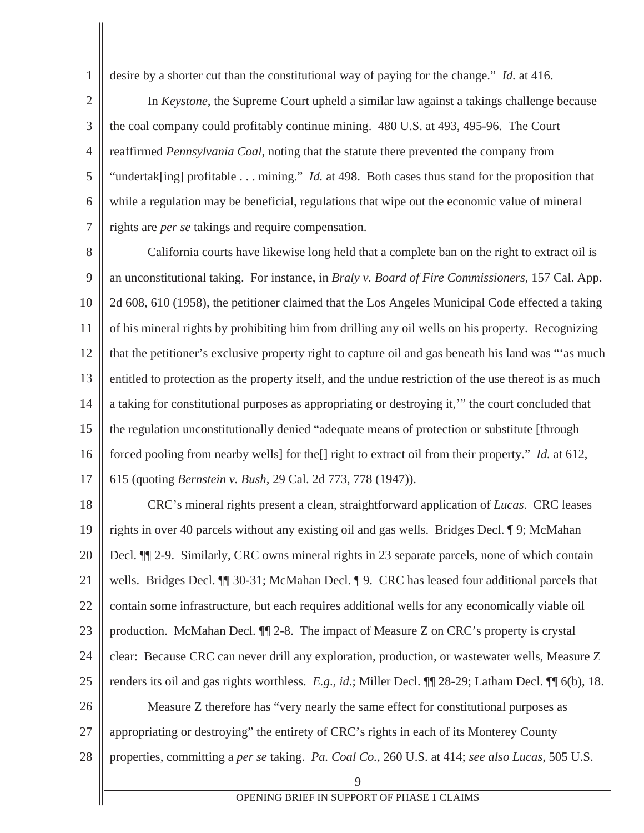desire by a shorter cut than the constitutional way of paying for the change." *Id.* at 416.

1

2 3 4 5 6 7 In *Keystone*, the Supreme Court upheld a similar law against a takings challenge because the coal company could profitably continue mining. 480 U.S. at 493, 495-96. The Court reaffirmed *Pennsylvania Coal*, noting that the statute there prevented the company from "undertak[ing] profitable . . . mining." *Id.* at 498. Both cases thus stand for the proposition that while a regulation may be beneficial, regulations that wipe out the economic value of mineral rights are *per se* takings and require compensation.

8 9 10 11 12 13 14 15 16 17 California courts have likewise long held that a complete ban on the right to extract oil is an unconstitutional taking. For instance, in *Braly v. Board of Fire Commissioners*, 157 Cal. App. 2d 608, 610 (1958), the petitioner claimed that the Los Angeles Municipal Code effected a taking of his mineral rights by prohibiting him from drilling any oil wells on his property. Recognizing that the petitioner's exclusive property right to capture oil and gas beneath his land was "'as much entitled to protection as the property itself, and the undue restriction of the use thereof is as much a taking for constitutional purposes as appropriating or destroying it,'" the court concluded that the regulation unconstitutionally denied "adequate means of protection or substitute [through forced pooling from nearby wells] for the[] right to extract oil from their property." *Id.* at 612, 615 (quoting *Bernstein v. Bush*, 29 Cal. 2d 773, 778 (1947)).

9 18 19 20 21 22 23 24 25 26 27 28 CRC's mineral rights present a clean, straightforward application of *Lucas*. CRC leases rights in over 40 parcels without any existing oil and gas wells. Bridges Decl. ¶ 9; McMahan Decl.  $\P$  2-9. Similarly, CRC owns mineral rights in 23 separate parcels, none of which contain wells. Bridges Decl.  $\P$  30-31; McMahan Decl.  $\P$  9. CRC has leased four additional parcels that contain some infrastructure, but each requires additional wells for any economically viable oil production. McMahan Decl. ¶¶ 2-8. The impact of Measure Z on CRC's property is crystal clear: Because CRC can never drill any exploration, production, or wastewater wells, Measure Z renders its oil and gas rights worthless. *E.g*., *id*.; Miller Decl. ¶¶ 28-29; Latham Decl. ¶¶ 6(b), 18. Measure Z therefore has "very nearly the same effect for constitutional purposes as appropriating or destroying" the entirety of CRC's rights in each of its Monterey County properties, committing a *per se* taking. *Pa. Coal Co.*, 260 U.S. at 414; *see also Lucas*, 505 U.S.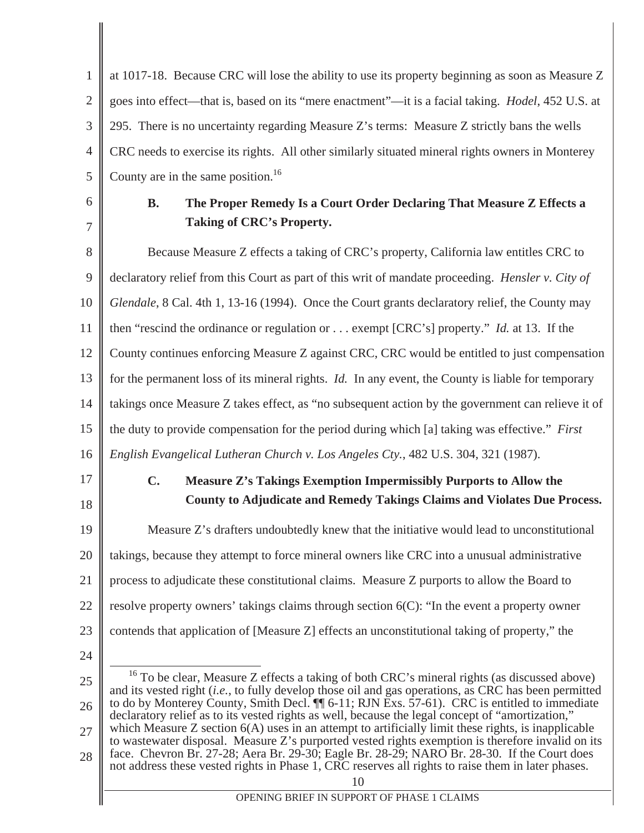1 2 3 4 5 at 1017-18. Because CRC will lose the ability to use its property beginning as soon as Measure Z goes into effect—that is, based on its "mere enactment"—it is a facial taking. *Hodel*, 452 U.S. at 295. There is no uncertainty regarding Measure Z's terms: Measure Z strictly bans the wells CRC needs to exercise its rights. All other similarly situated mineral rights owners in Monterey County are in the same position.<sup>16</sup>

6 7

# **B. The Proper Remedy Is a Court Order Declaring That Measure Z Effects a Taking of CRC's Property.**

8 9 10 11 12 13 14 15 16 Because Measure Z effects a taking of CRC's property, California law entitles CRC to declaratory relief from this Court as part of this writ of mandate proceeding. *Hensler v. City of Glendale*, 8 Cal. 4th 1, 13-16 (1994). Once the Court grants declaratory relief, the County may then "rescind the ordinance or regulation or . . . exempt [CRC's] property." *Id.* at 13. If the County continues enforcing Measure Z against CRC, CRC would be entitled to just compensation for the permanent loss of its mineral rights. *Id.* In any event, the County is liable for temporary takings once Measure Z takes effect, as "no subsequent action by the government can relieve it of the duty to provide compensation for the period during which [a] taking was effective." *First English Evangelical Lutheran Church v. Los Angeles Cty.*, 482 U.S. 304, 321 (1987).

17

18

# **C. Measure Z's Takings Exemption Impermissibly Purports to Allow the County to Adjudicate and Remedy Takings Claims and Violates Due Process.**

19 20 21 22 23 Measure Z's drafters undoubtedly knew that the initiative would lead to unconstitutional takings, because they attempt to force mineral owners like CRC into a unusual administrative process to adjudicate these constitutional claims. Measure Z purports to allow the Board to resolve property owners' takings claims through section 6(C): "In the event a property owner contends that application of [Measure Z] effects an unconstitutional taking of property," the

24

<sup>25</sup> 26 27 28 <sup>16</sup> To be clear, Measure Z effects a taking of both CRC's mineral rights (as discussed above) and its vested right (*i.e.*, to fully develop those oil and gas operations, as CRC has been permitted to do by Monterey County, Smith Decl. <sup>[1]</sup> 6-11; RJN Exs. 57-61). CRC is entitled to immediate declaratory relief as to its vested rights as well, because the legal concept of "amortization," which Measure Z section  $6(A)$  uses in an attempt to artificially limit these rights, is inapplicable to wastewater disposal. Measure Z's purported vested rights exemption is therefore invalid on its face. Chevron Br. 27-28; Aera Br. 29-30; Eagle Br. 28-29; NARO Br. 28-30. If the Court does not address these vested rights in Phase 1, CRC reserves all rights to raise them in later phases.

OPENING BRIEF IN SUPPORT OF PHASE 1 CLAIMS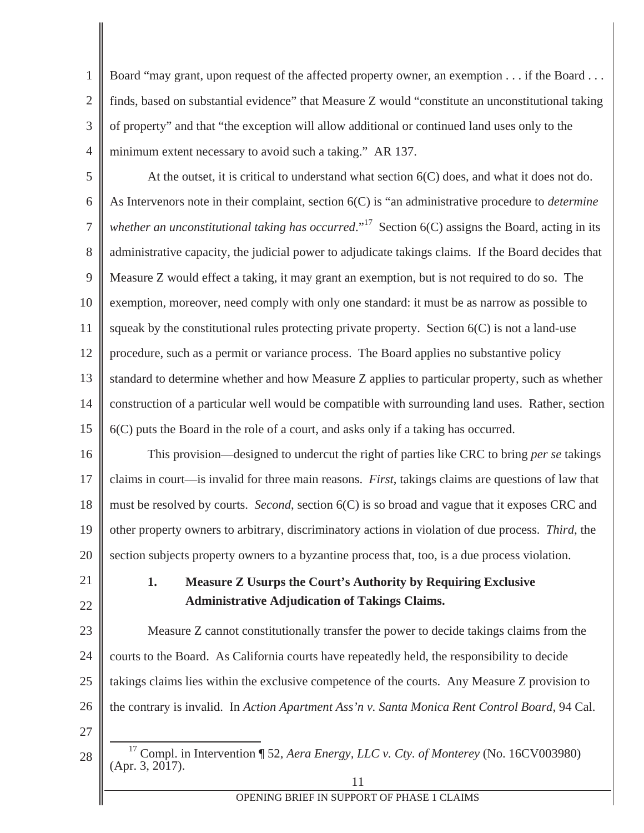1 2 3 4 Board "may grant, upon request of the affected property owner, an exemption . . . if the Board . . . finds, based on substantial evidence" that Measure Z would "constitute an unconstitutional taking of property" and that "the exception will allow additional or continued land uses only to the minimum extent necessary to avoid such a taking." AR 137.

5 6 7 8 9 10 11 12 13 14 15 At the outset, it is critical to understand what section 6(C) does, and what it does not do. As Intervenors note in their complaint, section 6(C) is "an administrative procedure to *determine whether an unconstitutional taking has occurred.*"<sup>17</sup> Section 6(C) assigns the Board, acting in its administrative capacity, the judicial power to adjudicate takings claims. If the Board decides that Measure Z would effect a taking, it may grant an exemption, but is not required to do so. The exemption, moreover, need comply with only one standard: it must be as narrow as possible to squeak by the constitutional rules protecting private property. Section  $6(C)$  is not a land-use procedure, such as a permit or variance process. The Board applies no substantive policy standard to determine whether and how Measure Z applies to particular property, such as whether construction of a particular well would be compatible with surrounding land uses. Rather, section 6(C) puts the Board in the role of a court, and asks only if a taking has occurred.

16 17 18 19 20 This provision—designed to undercut the right of parties like CRC to bring *per se* takings claims in court—is invalid for three main reasons. *First*, takings claims are questions of law that must be resolved by courts. *Second*, section 6(C) is so broad and vague that it exposes CRC and other property owners to arbitrary, discriminatory actions in violation of due process. *Third*, the section subjects property owners to a byzantine process that, too, is a due process violation.

21

22

# **1. Measure Z Usurps the Court's Authority by Requiring Exclusive Administrative Adjudication of Takings Claims.**

23 24 25 26 Measure Z cannot constitutionally transfer the power to decide takings claims from the courts to the Board. As California courts have repeatedly held, the responsibility to decide takings claims lies within the exclusive competence of the courts. Any Measure Z provision to the contrary is invalid. In *Action Apartment Ass'n v. Santa Monica Rent Control Board*, 94 Cal.

27

<sup>28</sup> 17 Compl. in Intervention ¶ 52, *Aera Energy, LLC v. Cty. of Monterey* (No. 16CV003980)  $(Apr. 3, 2017).$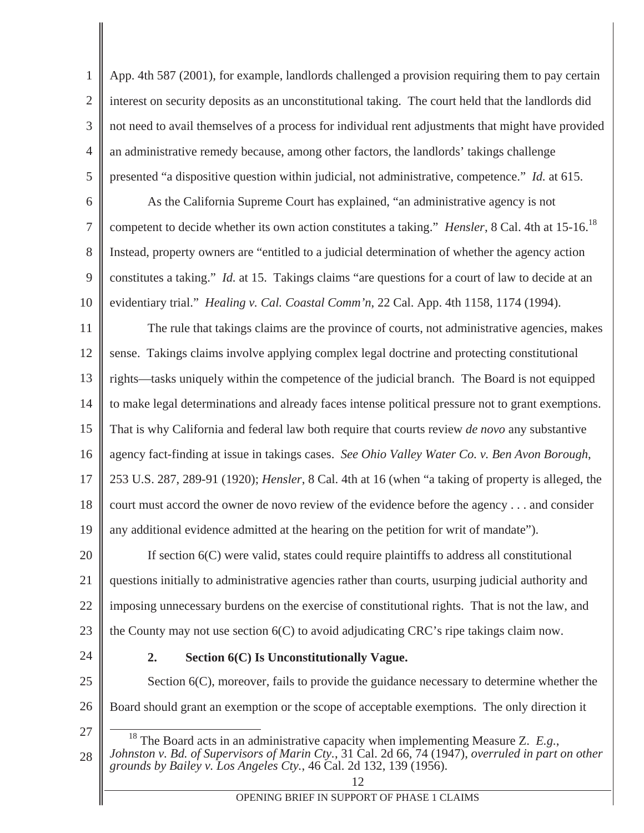1 2 3 4 5 App. 4th 587 (2001), for example, landlords challenged a provision requiring them to pay certain interest on security deposits as an unconstitutional taking. The court held that the landlords did not need to avail themselves of a process for individual rent adjustments that might have provided an administrative remedy because, among other factors, the landlords' takings challenge presented "a dispositive question within judicial, not administrative, competence." *Id.* at 615.

6 7 8 9 10 As the California Supreme Court has explained, "an administrative agency is not competent to decide whether its own action constitutes a taking." *Hensler*, 8 Cal. 4th at 15-16.18 Instead, property owners are "entitled to a judicial determination of whether the agency action constitutes a taking." *Id.* at 15. Takings claims "are questions for a court of law to decide at an evidentiary trial." *Healing v. Cal. Coastal Comm'n*, 22 Cal. App. 4th 1158, 1174 (1994).

11 12 13 14 15 16 17 18 19 The rule that takings claims are the province of courts, not administrative agencies, makes sense. Takings claims involve applying complex legal doctrine and protecting constitutional rights—tasks uniquely within the competence of the judicial branch. The Board is not equipped to make legal determinations and already faces intense political pressure not to grant exemptions. That is why California and federal law both require that courts review *de novo* any substantive agency fact-finding at issue in takings cases. *See Ohio Valley Water Co. v. Ben Avon Borough*, 253 U.S. 287, 289-91 (1920); *Hensler*, 8 Cal. 4th at 16 (when "a taking of property is alleged, the court must accord the owner de novo review of the evidence before the agency . . . and consider any additional evidence admitted at the hearing on the petition for writ of mandate").

20 21 22 23 If section 6(C) were valid, states could require plaintiffs to address all constitutional questions initially to administrative agencies rather than courts, usurping judicial authority and imposing unnecessary burdens on the exercise of constitutional rights. That is not the law, and the County may not use section 6(C) to avoid adjudicating CRC's ripe takings claim now.

24

### **2. Section 6(C) Is Unconstitutionally Vague.**

25 26 Section 6(C), moreover, fails to provide the guidance necessary to determine whether the Board should grant an exemption or the scope of acceptable exemptions. The only direction it

27

28 *grounds by Bailey v. Los Angeles Cty.*, 46 Cal. 2d 132, 139 (1956).

<sup>18</sup> The Board acts in an administrative capacity when implementing Measure Z. *E.g.*, *Johnston v. Bd. of Supervisors of Marin Cty.*, 31 Cal. 2d 66, 74 (1947), *overruled in part on other*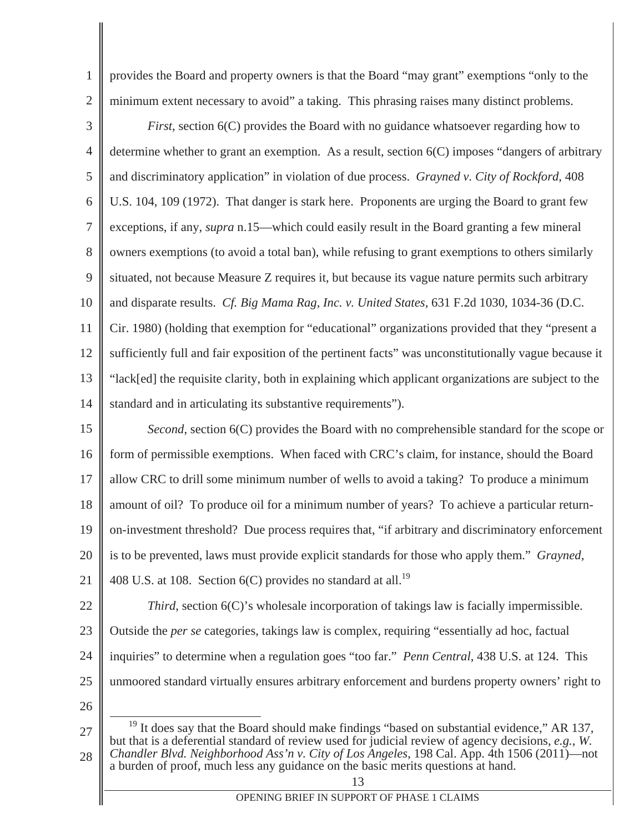provides the Board and property owners is that the Board "may grant" exemptions "only to the minimum extent necessary to avoid" a taking. This phrasing raises many distinct problems.

3 4 5 6 7 8 9 10 11 12 13 *First*, section 6(C) provides the Board with no guidance whatsoever regarding how to determine whether to grant an exemption. As a result, section 6(C) imposes "dangers of arbitrary and discriminatory application" in violation of due process. *Grayned v. City of Rockford*, 408 U.S. 104, 109 (1972). That danger is stark here. Proponents are urging the Board to grant few exceptions, if any, *supra* n.15—which could easily result in the Board granting a few mineral owners exemptions (to avoid a total ban), while refusing to grant exemptions to others similarly situated, not because Measure Z requires it, but because its vague nature permits such arbitrary and disparate results. *Cf. Big Mama Rag, Inc. v. United States*, 631 F.2d 1030, 1034-36 (D.C. Cir. 1980) (holding that exemption for "educational" organizations provided that they "present a sufficiently full and fair exposition of the pertinent facts" was unconstitutionally vague because it "lack[ed] the requisite clarity, both in explaining which applicant organizations are subject to the

15 16 17 18 19 20 21 *Second*, section 6(C) provides the Board with no comprehensible standard for the scope or form of permissible exemptions. When faced with CRC's claim, for instance, should the Board allow CRC to drill some minimum number of wells to avoid a taking? To produce a minimum amount of oil? To produce oil for a minimum number of years? To achieve a particular returnon-investment threshold? Due process requires that, "if arbitrary and discriminatory enforcement is to be prevented, laws must provide explicit standards for those who apply them." *Grayned*, 408 U.S. at 108. Section  $6(C)$  provides no standard at all.<sup>19</sup>

standard and in articulating its substantive requirements").

22

14

1

2

*Third*, section 6(C)'s wholesale incorporation of takings law is facially impermissible.

- 23 Outside the *per se* categories, takings law is complex, requiring "essentially ad hoc, factual
- 24 inquiries" to determine when a regulation goes "too far." *Penn Central*, 438 U.S. at 124. This
- 25 unmoored standard virtually ensures arbitrary enforcement and burdens property owners' right to
- 26

27 28  $19$  It does say that the Board should make findings "based on substantial evidence," AR 137, but that is a deferential standard of review used for judicial review of agency decisions, *e.g.*, *W. Chandler Blvd. Neighborhood Ass'n v. City of Los Angeles*, 198 Cal. App. 4th 1506 (2011)—not a burden of proof, much less any guidance on the basic merits questions at hand.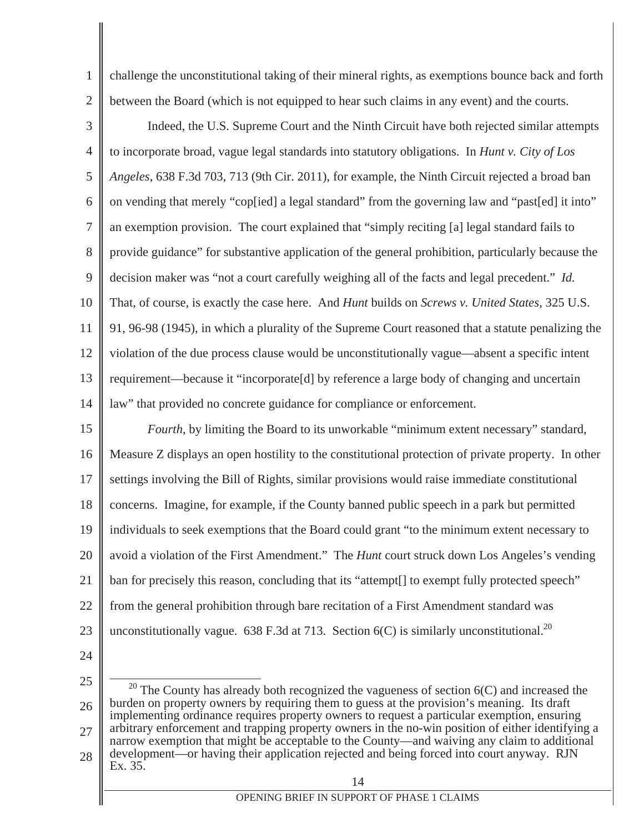1 2 challenge the unconstitutional taking of their mineral rights, as exemptions bounce back and forth between the Board (which is not equipped to hear such claims in any event) and the courts.

3 4 5 6 7 8 9 10 11 12 13 14 Indeed, the U.S. Supreme Court and the Ninth Circuit have both rejected similar attempts to incorporate broad, vague legal standards into statutory obligations. In *Hunt v. City of Los Angeles*, 638 F.3d 703, 713 (9th Cir. 2011), for example, the Ninth Circuit rejected a broad ban on vending that merely "cop[ied] a legal standard" from the governing law and "past[ed] it into" an exemption provision. The court explained that "simply reciting [a] legal standard fails to provide guidance" for substantive application of the general prohibition, particularly because the decision maker was "not a court carefully weighing all of the facts and legal precedent." *Id.* That, of course, is exactly the case here. And *Hunt* builds on *Screws v. United States*, 325 U.S. 91, 96-98 (1945), in which a plurality of the Supreme Court reasoned that a statute penalizing the violation of the due process clause would be unconstitutionally vague—absent a specific intent requirement—because it "incorporate[d] by reference a large body of changing and uncertain law" that provided no concrete guidance for compliance or enforcement.

15 16 17 18 19 20 21 22 23 *Fourth*, by limiting the Board to its unworkable "minimum extent necessary" standard, Measure Z displays an open hostility to the constitutional protection of private property. In other settings involving the Bill of Rights, similar provisions would raise immediate constitutional concerns. Imagine, for example, if the County banned public speech in a park but permitted individuals to seek exemptions that the Board could grant "to the minimum extent necessary to avoid a violation of the First Amendment." The *Hunt* court struck down Los Angeles's vending ban for precisely this reason, concluding that its "attempt[] to exempt fully protected speech" from the general prohibition through bare recitation of a First Amendment standard was unconstitutionally vague. 638 F.3d at 713. Section  $6(C)$  is similarly unconstitutional.<sup>20</sup>

24

25 26 27  $20$  The County has already both recognized the vagueness of section  $6(C)$  and increased the burden on property owners by requiring them to guess at the provision's meaning. Its draft implementing ordinance requires property owners to request a particular exemption, ensuring arbitrary enforcement and trapping property owners in the no-win position of either identifying a

28 narrow exemption that might be acceptable to the County—and waiving any claim to additional development—or having their application rejected and being forced into court anyway. RJN Ex. 35.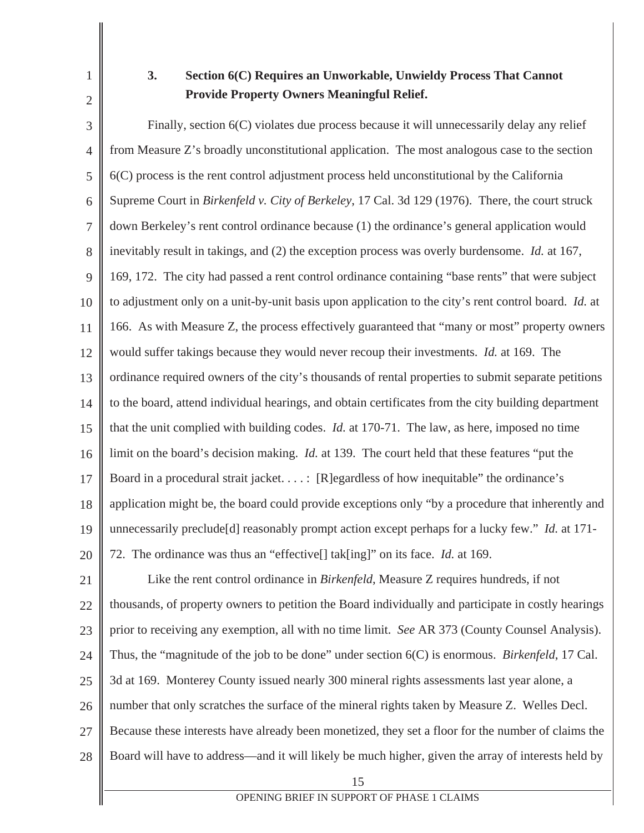1 2

# **3. Section 6(C) Requires an Unworkable, Unwieldy Process That Cannot Provide Property Owners Meaningful Relief.**

3 4 5 6 7 8 9 10 11 12 13 14 15 16 17 18 19 20 Finally, section  $6(C)$  violates due process because it will unnecessarily delay any relief from Measure Z's broadly unconstitutional application. The most analogous case to the section 6(C) process is the rent control adjustment process held unconstitutional by the California Supreme Court in *Birkenfeld v. City of Berkeley*, 17 Cal. 3d 129 (1976). There, the court struck down Berkeley's rent control ordinance because (1) the ordinance's general application would inevitably result in takings, and (2) the exception process was overly burdensome. *Id.* at 167, 169, 172. The city had passed a rent control ordinance containing "base rents" that were subject to adjustment only on a unit-by-unit basis upon application to the city's rent control board. *Id.* at 166. As with Measure Z, the process effectively guaranteed that "many or most" property owners would suffer takings because they would never recoup their investments. *Id.* at 169. The ordinance required owners of the city's thousands of rental properties to submit separate petitions to the board, attend individual hearings, and obtain certificates from the city building department that the unit complied with building codes. *Id.* at 170-71. The law, as here, imposed no time limit on the board's decision making. *Id.* at 139. The court held that these features "put the Board in a procedural strait jacket. . . . : [R]egardless of how inequitable" the ordinance's application might be, the board could provide exceptions only "by a procedure that inherently and unnecessarily preclude[d] reasonably prompt action except perhaps for a lucky few." *Id.* at 171- 72. The ordinance was thus an "effective[] tak[ing]" on its face. *Id.* at 169.

15 21 22 23 24 25 26 27 28 Like the rent control ordinance in *Birkenfeld*, Measure Z requires hundreds, if not thousands, of property owners to petition the Board individually and participate in costly hearings prior to receiving any exemption, all with no time limit. *See* AR 373 (County Counsel Analysis). Thus, the "magnitude of the job to be done" under section 6(C) is enormous. *Birkenfeld*, 17 Cal. 3d at 169. Monterey County issued nearly 300 mineral rights assessments last year alone, a number that only scratches the surface of the mineral rights taken by Measure Z. Welles Decl. Because these interests have already been monetized, they set a floor for the number of claims the Board will have to address—and it will likely be much higher, given the array of interests held by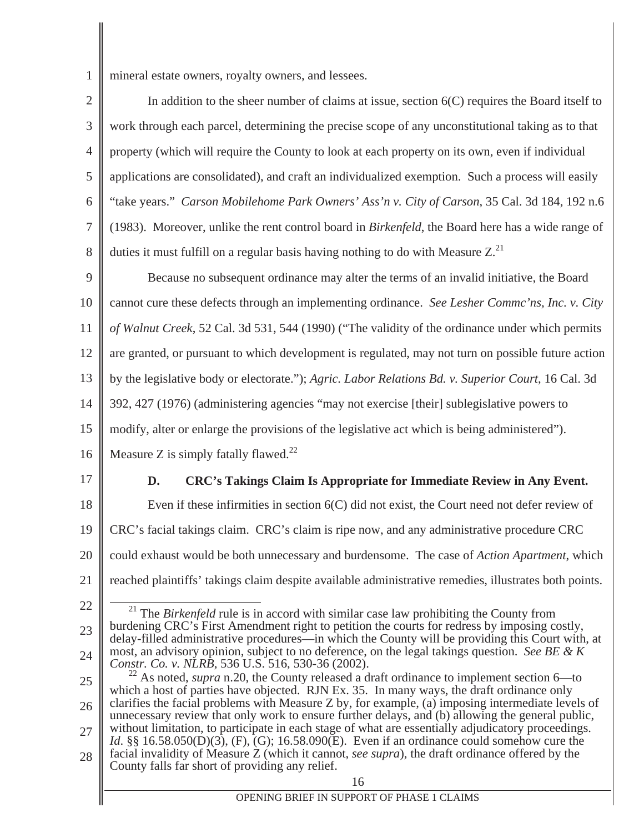1 mineral estate owners, royalty owners, and lessees.

| $2 \parallel$  | In addition to the sheer number of claims at issue, section $6(C)$ requires the Board itself to                         |
|----------------|-------------------------------------------------------------------------------------------------------------------------|
| 3 <sup>1</sup> | work through each parcel, determining the precise scope of any unconstitutional taking as to that                       |
|                | $4 \parallel$ property (which will require the County to look at each property on its own, even if individual           |
|                | $5 \parallel$ applications are consolidated), and craft an individualized exemption. Such a process will easily         |
|                | 6    "take years." <i>Carson Mobilehome Park Owners' Ass'n v. City of Carson</i> , 35 Cal. 3d 184, 192 n.6              |
|                | 7 $\parallel$ (1983). Moreover, unlike the rent control board in <i>Birkenfeld</i> , the Board here has a wide range of |
|                | 8 $\parallel$ duties it must fulfill on a regular basis having nothing to do with Measure Z. <sup>21</sup>              |

9 10 11 12 13 14 Because no subsequent ordinance may alter the terms of an invalid initiative, the Board cannot cure these defects through an implementing ordinance. *See Lesher Commc'ns, Inc. v. City of Walnut Creek*, 52 Cal. 3d 531, 544 (1990) ("The validity of the ordinance under which permits are granted, or pursuant to which development is regulated, may not turn on possible future action by the legislative body or electorate."); *Agric. Labor Relations Bd. v. Superior Court*, 16 Cal. 3d 392, 427 (1976) (administering agencies "may not exercise [their] sublegislative powers to

15 modify, alter or enlarge the provisions of the legislative act which is being administered").

- 16 Measure Z is simply fatally flawed. $^{22}$
- 17

## **D. CRC's Takings Claim Is Appropriate for Immediate Review in Any Event.**

18 19 20 21 Even if these infirmities in section 6(C) did not exist, the Court need not defer review of CRC's facial takings claim. CRC's claim is ripe now, and any administrative procedure CRC could exhaust would be both unnecessary and burdensome. The case of *Action Apartment*, which reached plaintiffs' takings claim despite available administrative remedies, illustrates both points.

22

23 24 <sup>21</sup> The *Birkenfeld* rule is in accord with similar case law prohibiting the County from burdening CRC's First Amendment right to petition the courts for redress by imposing costly, delay-filled administrative procedures—in which the County will be providing this Court with, at most, an advisory opinion, subject to no deference, on the legal takings question. *See BE & K Constr. Co. v. NLRB*, 536 U.S. 516, 530-36 (2002).

- 25 26 27 <sup>22</sup> As noted, *supra* n.20, the County released a draft ordinance to implement section 6—to which a host of parties have objected. RJN Ex. 35. In many ways, the draft ordinance only clarifies the facial problems with Measure Z by, for example, (a) imposing intermediate levels of unnecessary review that only work to ensure further delays, and (b) allowing the general public, without limitation, to participate in each stage of what are essentially adjudicatory proceedings. *Id*. §§ 16.58.050(D)(3), (F), (G); 16.58.090(E). Even if an ordinance could somehow cure the
- 28 facial invalidity of Measure Z (which it cannot, *see supra*), the draft ordinance offered by the County falls far short of providing any relief.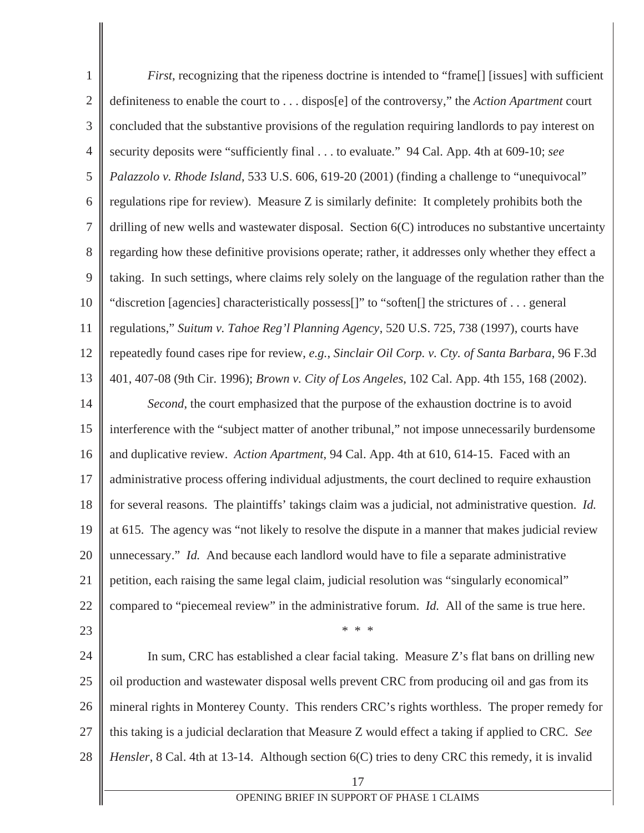17 OPENING BRIEF IN SUPPORT OF PHASE 1 CLAIMS 1 2 3 4 5 6 7 8 9 10 11 12 13 14 15 16 17 18 19 20 21 22 23 24 25 26 27 28 *First*, recognizing that the ripeness doctrine is intended to "frame<sup>[]</sup> [issues] with sufficient definiteness to enable the court to . . . dispos[e] of the controversy," the *Action Apartment* court concluded that the substantive provisions of the regulation requiring landlords to pay interest on security deposits were "sufficiently final . . . to evaluate." 94 Cal. App. 4th at 609-10; *see Palazzolo v. Rhode Island*, 533 U.S. 606, 619-20 (2001) (finding a challenge to "unequivocal" regulations ripe for review). Measure Z is similarly definite: It completely prohibits both the drilling of new wells and wastewater disposal. Section 6(C) introduces no substantive uncertainty regarding how these definitive provisions operate; rather, it addresses only whether they effect a taking. In such settings, where claims rely solely on the language of the regulation rather than the "discretion [agencies] characteristically possess[]" to "soften[] the strictures of . . . general regulations," *Suitum v. Tahoe Reg'l Planning Agency*, 520 U.S. 725, 738 (1997), courts have repeatedly found cases ripe for review, *e.g.*, *Sinclair Oil Corp. v. Cty. of Santa Barbara*, 96 F.3d 401, 407-08 (9th Cir. 1996); *Brown v. City of Los Angeles*, 102 Cal. App. 4th 155, 168 (2002). *Second*, the court emphasized that the purpose of the exhaustion doctrine is to avoid interference with the "subject matter of another tribunal," not impose unnecessarily burdensome and duplicative review. *Action Apartment*, 94 Cal. App. 4th at 610, 614-15. Faced with an administrative process offering individual adjustments, the court declined to require exhaustion for several reasons. The plaintiffs' takings claim was a judicial, not administrative question. *Id.* at 615. The agency was "not likely to resolve the dispute in a manner that makes judicial review unnecessary." *Id.* And because each landlord would have to file a separate administrative petition, each raising the same legal claim, judicial resolution was "singularly economical" compared to "piecemeal review" in the administrative forum. *Id.* All of the same is true here. \* \* \* In sum, CRC has established a clear facial taking. Measure Z's flat bans on drilling new oil production and wastewater disposal wells prevent CRC from producing oil and gas from its mineral rights in Monterey County. This renders CRC's rights worthless. The proper remedy for this taking is a judicial declaration that Measure Z would effect a taking if applied to CRC. *See Hensler*, 8 Cal. 4th at 13-14. Although section 6(C) tries to deny CRC this remedy, it is invalid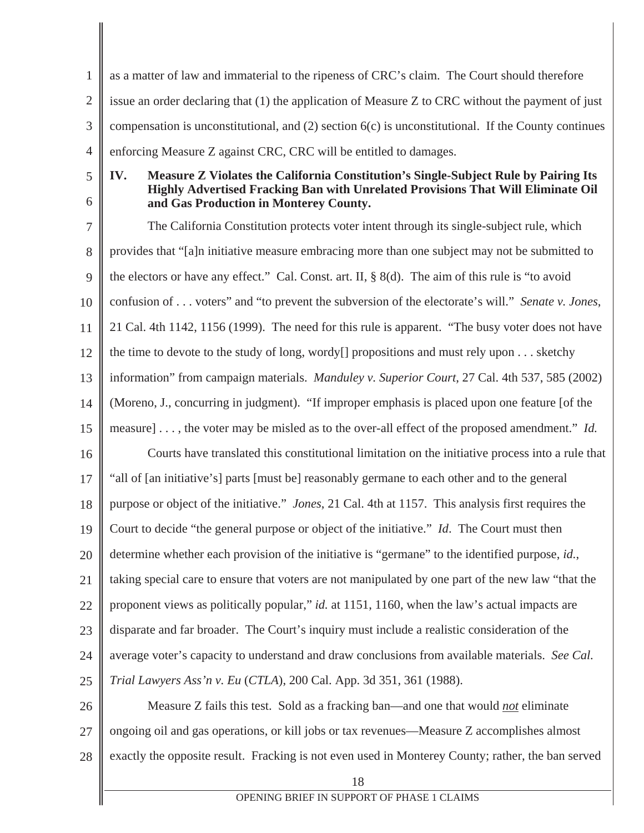1 2 3 4 as a matter of law and immaterial to the ripeness of CRC's claim. The Court should therefore issue an order declaring that (1) the application of Measure Z to CRC without the payment of just compensation is unconstitutional, and  $(2)$  section  $6(c)$  is unconstitutional. If the County continues enforcing Measure Z against CRC, CRC will be entitled to damages.

5 6

#### **IV. Measure Z Violates the California Constitution's Single-Subject Rule by Pairing Its Highly Advertised Fracking Ban with Unrelated Provisions That Will Eliminate Oil and Gas Production in Monterey County.**

7 8 9 10 11 12 13 14 15 16 17 18 19 20 21 22 23 24 25 26 The California Constitution protects voter intent through its single-subject rule, which provides that "[a]n initiative measure embracing more than one subject may not be submitted to the electors or have any effect." Cal. Const. art. II, § 8(d). The aim of this rule is "to avoid confusion of . . . voters" and "to prevent the subversion of the electorate's will." *Senate v. Jones*, 21 Cal. 4th 1142, 1156 (1999). The need for this rule is apparent. "The busy voter does not have the time to devote to the study of long, wordy[] propositions and must rely upon . . . sketchy information" from campaign materials. *Manduley v. Superior Court*, 27 Cal. 4th 537, 585 (2002) (Moreno, J., concurring in judgment). "If improper emphasis is placed upon one feature [of the measure] . . . , the voter may be misled as to the over-all effect of the proposed amendment." *Id.* Courts have translated this constitutional limitation on the initiative process into a rule that "all of [an initiative's] parts [must be] reasonably germane to each other and to the general purpose or object of the initiative." *Jones*, 21 Cal. 4th at 1157. This analysis first requires the Court to decide "the general purpose or object of the initiative." *Id*. The Court must then determine whether each provision of the initiative is "germane" to the identified purpose, *id.*, taking special care to ensure that voters are not manipulated by one part of the new law "that the proponent views as politically popular," *id.* at 1151, 1160, when the law's actual impacts are disparate and far broader. The Court's inquiry must include a realistic consideration of the average voter's capacity to understand and draw conclusions from available materials. *See Cal. Trial Lawyers Ass'n v. Eu* (*CTLA*), 200 Cal. App. 3d 351, 361 (1988). Measure Z fails this test. Sold as a fracking ban—and one that would *not* eliminate

27 28 ongoing oil and gas operations, or kill jobs or tax revenues—Measure Z accomplishes almost exactly the opposite result. Fracking is not even used in Monterey County; rather, the ban served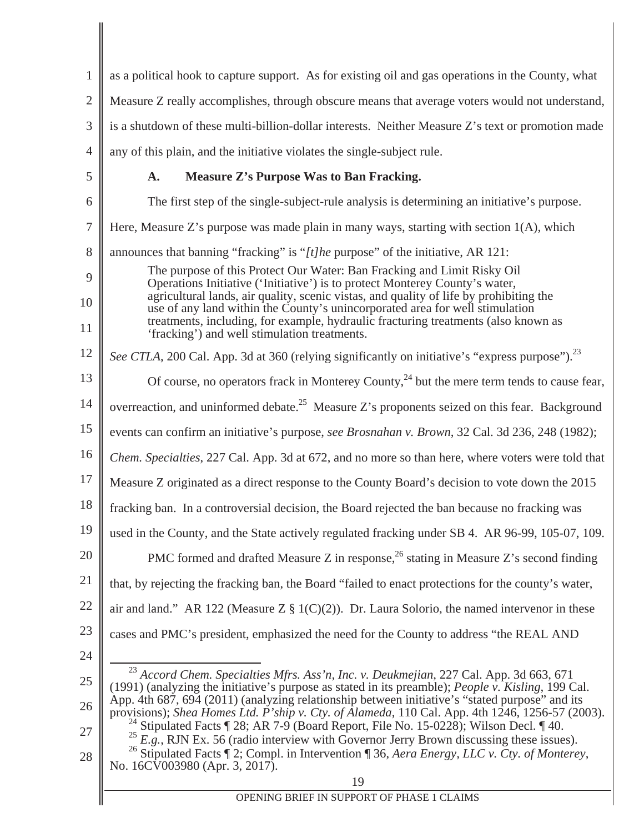| $\mathbf{1}$   | as a political hook to capture support. As for existing oil and gas operations in the County, what                                                                                                                                                                                                                                          |
|----------------|---------------------------------------------------------------------------------------------------------------------------------------------------------------------------------------------------------------------------------------------------------------------------------------------------------------------------------------------|
| $\overline{2}$ | Measure Z really accomplishes, through obscure means that average voters would not understand,                                                                                                                                                                                                                                              |
| 3              | is a shutdown of these multi-billion-dollar interests. Neither Measure Z's text or promotion made                                                                                                                                                                                                                                           |
| $\overline{4}$ | any of this plain, and the initiative violates the single-subject rule.                                                                                                                                                                                                                                                                     |
| 5              | Measure Z's Purpose Was to Ban Fracking.<br>A.                                                                                                                                                                                                                                                                                              |
| 6              | The first step of the single-subject-rule analysis is determining an initiative's purpose.                                                                                                                                                                                                                                                  |
| 7              | Here, Measure Z's purpose was made plain in many ways, starting with section $1(A)$ , which                                                                                                                                                                                                                                                 |
| 8              | announces that banning "fracking" is " $[t]$ he purpose" of the initiative, AR 121:                                                                                                                                                                                                                                                         |
| 9              | The purpose of this Protect Our Water: Ban Fracking and Limit Risky Oil<br>Operations Initiative ('Initiative') is to protect Monterey County's water,                                                                                                                                                                                      |
| 10             | agricultural lands, air quality, scenic vistas, and quality of life by prohibiting the<br>use of any land within the County's unincorporated area for well stimulation                                                                                                                                                                      |
| 11             | treatments, including, for example, hydraulic fracturing treatments (also known as<br>'fracking') and well stimulation treatments.                                                                                                                                                                                                          |
| 12             | See CTLA, 200 Cal. App. 3d at 360 (relying significantly on initiative's "express purpose"). <sup>23</sup>                                                                                                                                                                                                                                  |
| 13             | Of course, no operators frack in Monterey County, <sup>24</sup> but the mere term tends to cause fear,                                                                                                                                                                                                                                      |
| 14             | overreaction, and uninformed debate. <sup>25</sup> Measure Z's proponents seized on this fear. Background                                                                                                                                                                                                                                   |
| 15             | events can confirm an initiative's purpose, see Brosnahan v. Brown, 32 Cal. 3d 236, 248 (1982);                                                                                                                                                                                                                                             |
| 16             | Chem. Specialties, 227 Cal. App. 3d at 672, and no more so than here, where voters were told that                                                                                                                                                                                                                                           |
| 17             | Measure Z originated as a direct response to the County Board's decision to vote down the 2015                                                                                                                                                                                                                                              |
| 18             | fracking ban. In a controversial decision, the Board rejected the ban because no fracking was                                                                                                                                                                                                                                               |
| 19             | used in the County, and the State actively regulated fracking under SB 4. AR 96-99, 105-07, 109.                                                                                                                                                                                                                                            |
| 20             | PMC formed and drafted Measure Z in response, $^{26}$ stating in Measure Z's second finding                                                                                                                                                                                                                                                 |
| 21             | that, by rejecting the fracking ban, the Board "failed to enact protections for the county's water,                                                                                                                                                                                                                                         |
| 22             | air and land." AR 122 (Measure $Z \S 1(C)(2)$ ). Dr. Laura Solorio, the named intervenor in these                                                                                                                                                                                                                                           |
| 23             | cases and PMC's president, emphasized the need for the County to address "the REAL AND                                                                                                                                                                                                                                                      |
| 24             |                                                                                                                                                                                                                                                                                                                                             |
| 25             | <sup>23</sup> Accord Chem. Specialties Mfrs. Ass'n, Inc. v. Deukmejian, 227 Cal. App. 3d 663, 671<br>(1991) (analyzing the initiative's purpose as stated in its preamble); People v. Kisling, 199 Cal.<br>App. 4th 687, 694 (2011) (analyzing relationship between initiative's "stated purpose" and its                                   |
| 26             | provisions); Shea Homes Ltd. P'ship v. Cty. of Alameda, 110 Cal. App. 4th 1246, 1256-57 (2003).                                                                                                                                                                                                                                             |
| 27<br>28       | Stipulated Facts ¶ 28; AR 7-9 (Board Report, File No. 15-0228); Wilson Decl. ¶ 40.<br><sup>25</sup> E.g., RJN Ex. 56 (radio interview with Governor Jerry Brown discussing these issues).<br><sup>26</sup> Stipulated Facts $\P$ 2; Compl. in Intervention $\P$ 36, Aera Energy, LLC v. Cty. of Monterey,<br>No. 16CV003980 (Apr. 3, 2017). |
|                | 19                                                                                                                                                                                                                                                                                                                                          |
|                | OPENING BRIEF IN SUPPORT OF PHASE 1 CLAIMS                                                                                                                                                                                                                                                                                                  |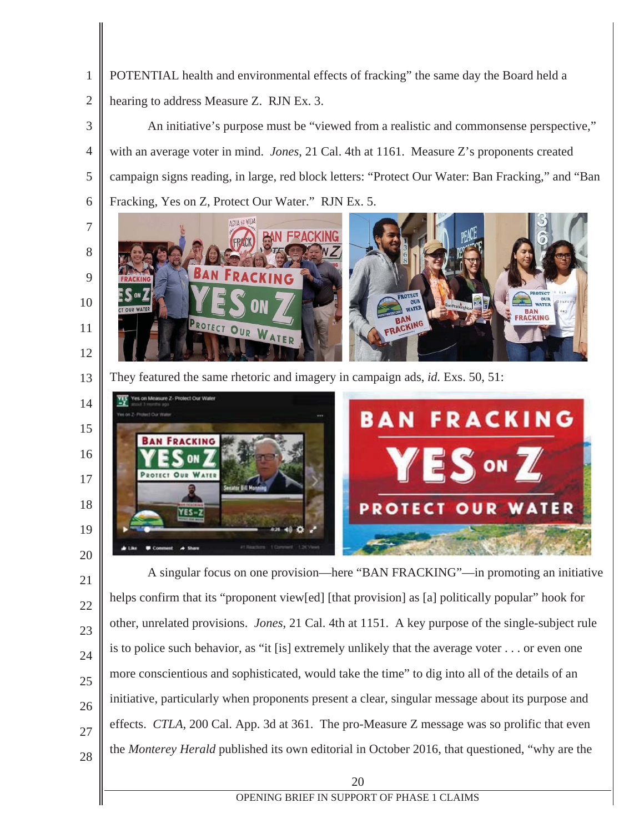POTENTIAL health and environmental effects of fracking" the same day the Board held a hearing to address Measure Z. RJN Ex. 3.

 An initiative's purpose must be "viewed from a realistic and commonsense perspective," with an average voter in mind. *Jones*, 21 Cal. 4th at 1161. Measure Z's proponents created campaign signs reading, in large, red block letters: "Protect Our Water: Ban Fracking," and "Ban Fracking, Yes on Z, Protect Our Water." RJN Ex. 5.



 They featured the same rhetoric and imagery in campaign ads, *id.* Exs. 50, 51:



A singular focus on one provision—here "BAN FRACKING"—in promoting an initiative helps confirm that its "proponent view[ed] [that provision] as [a] politically popular" hook for other, unrelated provisions. *Jones*, 21 Cal. 4th at 1151. A key purpose of the single-subject rule is to police such behavior, as "it [is] extremely unlikely that the average voter . . . or even one more conscientious and sophisticated, would take the time" to dig into all of the details of an initiative, particularly when proponents present a clear, singular message about its purpose and effects. *CTLA*, 200 Cal. App. 3d at 361. The pro-Measure Z message was so prolific that even the *Monterey Herald* published its own editorial in October 2016, that questioned, "why are the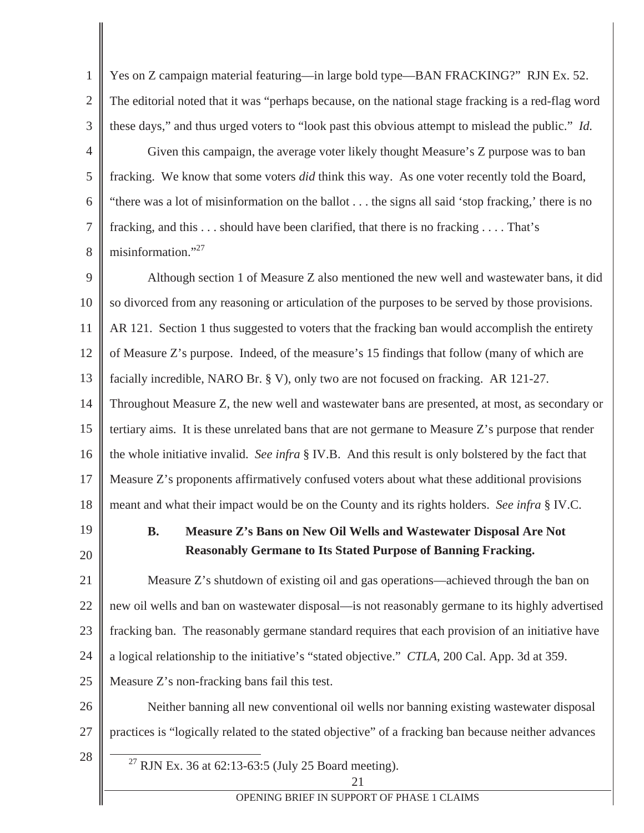1 2 3 4 5 6 7 8 Yes on Z campaign material featuring—in large bold type—BAN FRACKING?" RJN Ex. 52. The editorial noted that it was "perhaps because, on the national stage fracking is a red-flag word these days," and thus urged voters to "look past this obvious attempt to mislead the public." *Id.* Given this campaign, the average voter likely thought Measure's Z purpose was to ban fracking. We know that some voters *did* think this way. As one voter recently told the Board, "there was a lot of misinformation on the ballot . . . the signs all said 'stop fracking,' there is no fracking, and this . . . should have been clarified, that there is no fracking . . . . That's misinformation."<sup>27</sup>

9 10 11 12 13 14 15 16 17 18 Although section 1 of Measure Z also mentioned the new well and wastewater bans, it did so divorced from any reasoning or articulation of the purposes to be served by those provisions. AR 121. Section 1 thus suggested to voters that the fracking ban would accomplish the entirety of Measure Z's purpose. Indeed, of the measure's 15 findings that follow (many of which are facially incredible, NARO Br. § V), only two are not focused on fracking. AR 121-27. Throughout Measure Z, the new well and wastewater bans are presented, at most, as secondary or tertiary aims. It is these unrelated bans that are not germane to Measure Z's purpose that render the whole initiative invalid. *See infra* § IV.B. And this result is only bolstered by the fact that Measure Z's proponents affirmatively confused voters about what these additional provisions meant and what their impact would be on the County and its rights holders. *See infra* § IV.C.

19 20

# **B. Measure Z's Bans on New Oil Wells and Wastewater Disposal Are Not Reasonably Germane to Its Stated Purpose of Banning Fracking.**

21 22 23 24 25 Measure Z's shutdown of existing oil and gas operations—achieved through the ban on new oil wells and ban on wastewater disposal—is not reasonably germane to its highly advertised fracking ban. The reasonably germane standard requires that each provision of an initiative have a logical relationship to the initiative's "stated objective." *CTLA*, 200 Cal. App. 3d at 359. Measure Z's non-fracking bans fail this test.

26 27 Neither banning all new conventional oil wells nor banning existing wastewater disposal practices is "logically related to the stated objective" of a fracking ban because neither advances

- 28
- <sup>27</sup> RJN Ex. 36 at 62:13-63:5 (July 25 Board meeting).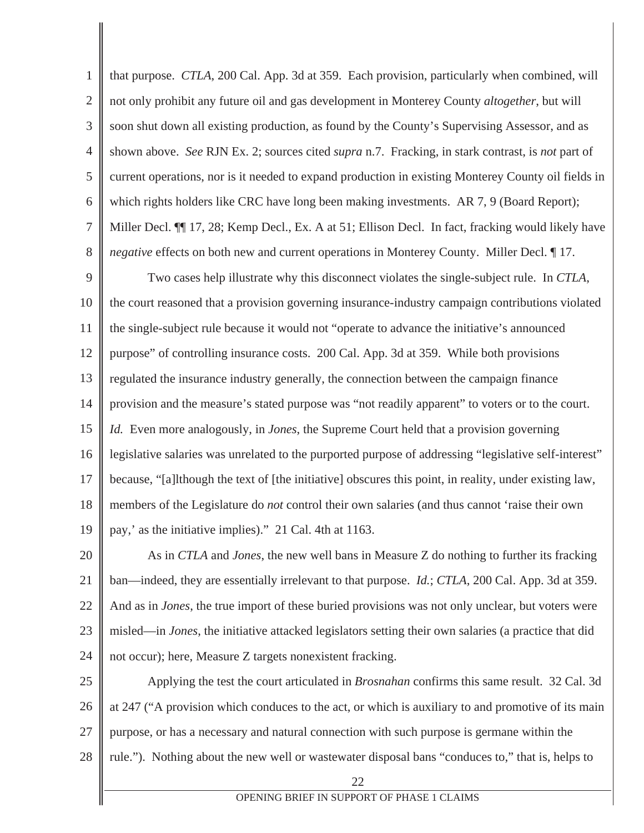1 2 3 4 5 6 7 8 that purpose. *CTLA*, 200 Cal. App. 3d at 359. Each provision, particularly when combined, will not only prohibit any future oil and gas development in Monterey County *altogether*, but will soon shut down all existing production, as found by the County's Supervising Assessor, and as shown above. *See* RJN Ex. 2; sources cited *supra* n.7. Fracking, in stark contrast, is *not* part of current operations, nor is it needed to expand production in existing Monterey County oil fields in which rights holders like CRC have long been making investments. AR 7, 9 (Board Report); Miller Decl. ¶¶ 17, 28; Kemp Decl., Ex. A at 51; Ellison Decl. In fact, fracking would likely have *negative* effects on both new and current operations in Monterey County. Miller Decl. ¶ 17.

9 10 11 12 13 14 15 16 17 18 19 Two cases help illustrate why this disconnect violates the single-subject rule. In *CTLA*, the court reasoned that a provision governing insurance-industry campaign contributions violated the single-subject rule because it would not "operate to advance the initiative's announced purpose" of controlling insurance costs. 200 Cal. App. 3d at 359. While both provisions regulated the insurance industry generally, the connection between the campaign finance provision and the measure's stated purpose was "not readily apparent" to voters or to the court. *Id.* Even more analogously, in *Jones*, the Supreme Court held that a provision governing legislative salaries was unrelated to the purported purpose of addressing "legislative self-interest" because, "[a]lthough the text of [the initiative] obscures this point, in reality, under existing law, members of the Legislature do *not* control their own salaries (and thus cannot 'raise their own pay,' as the initiative implies)." 21 Cal. 4th at 1163.

20 21 22 23 24 As in *CTLA* and *Jones*, the new well bans in Measure Z do nothing to further its fracking ban—indeed, they are essentially irrelevant to that purpose. *Id.*; *CTLA*, 200 Cal. App. 3d at 359. And as in *Jones*, the true import of these buried provisions was not only unclear, but voters were misled—in *Jones*, the initiative attacked legislators setting their own salaries (a practice that did not occur); here, Measure Z targets nonexistent fracking.

25 26 27 28 Applying the test the court articulated in *Brosnahan* confirms this same result. 32 Cal. 3d at 247 ("A provision which conduces to the act, or which is auxiliary to and promotive of its main purpose, or has a necessary and natural connection with such purpose is germane within the rule."). Nothing about the new well or wastewater disposal bans "conduces to," that is, helps to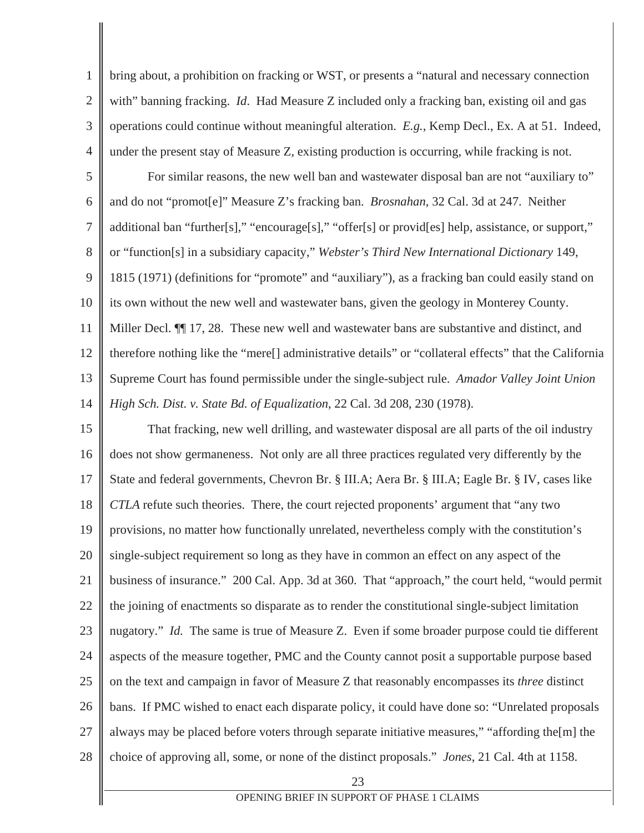1 2 3 4 bring about, a prohibition on fracking or WST, or presents a "natural and necessary connection with" banning fracking. *Id*. Had Measure Z included only a fracking ban, existing oil and gas operations could continue without meaningful alteration. *E.g.*, Kemp Decl., Ex. A at 51. Indeed, under the present stay of Measure Z, existing production is occurring, while fracking is not.

5 6 7 8 9 10 11 12 13 14 For similar reasons, the new well ban and wastewater disposal ban are not "auxiliary to" and do not "promot[e]" Measure Z's fracking ban. *Brosnahan*, 32 Cal. 3d at 247. Neither additional ban "further[s]," "encourage[s]," "offer[s] or provid[es] help, assistance, or support," or "function[s] in a subsidiary capacity," *Webster's Third New International Dictionary* 149, 1815 (1971) (definitions for "promote" and "auxiliary"), as a fracking ban could easily stand on its own without the new well and wastewater bans, given the geology in Monterey County. Miller Decl. ¶¶ 17, 28. These new well and wastewater bans are substantive and distinct, and therefore nothing like the "mere[] administrative details" or "collateral effects" that the California Supreme Court has found permissible under the single-subject rule. *Amador Valley Joint Union High Sch. Dist. v. State Bd. of Equalization*, 22 Cal. 3d 208, 230 (1978).

15 16 17 18 19 20 21 22 23 24 25 26 27 28 That fracking, new well drilling, and wastewater disposal are all parts of the oil industry does not show germaneness. Not only are all three practices regulated very differently by the State and federal governments, Chevron Br. § III.A; Aera Br. § III.A; Eagle Br. § IV, cases like *CTLA* refute such theories. There, the court rejected proponents' argument that "any two provisions, no matter how functionally unrelated, nevertheless comply with the constitution's single-subject requirement so long as they have in common an effect on any aspect of the business of insurance." 200 Cal. App. 3d at 360. That "approach," the court held, "would permit the joining of enactments so disparate as to render the constitutional single-subject limitation nugatory." *Id.* The same is true of Measure Z. Even if some broader purpose could tie different aspects of the measure together, PMC and the County cannot posit a supportable purpose based on the text and campaign in favor of Measure Z that reasonably encompasses its *three* distinct bans. If PMC wished to enact each disparate policy, it could have done so: "Unrelated proposals always may be placed before voters through separate initiative measures," "affording the[m] the choice of approving all, some, or none of the distinct proposals." *Jones*, 21 Cal. 4th at 1158.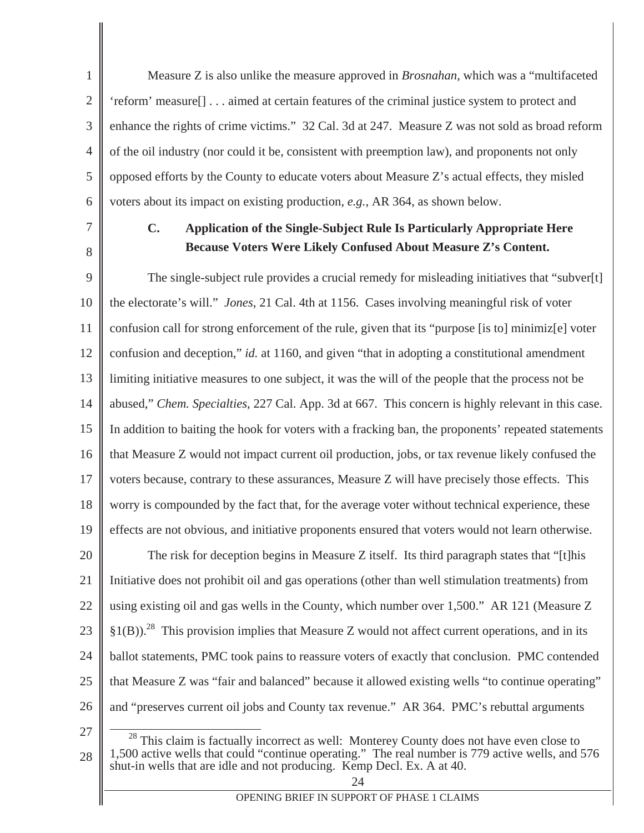2 3 4 5 6 Measure Z is also unlike the measure approved in *Brosnahan*, which was a "multifaceted 'reform' measure[] . . . aimed at certain features of the criminal justice system to protect and enhance the rights of crime victims." 32 Cal. 3d at 247. Measure Z was not sold as broad reform of the oil industry (nor could it be, consistent with preemption law), and proponents not only opposed efforts by the County to educate voters about Measure Z's actual effects, they misled voters about its impact on existing production, *e.g.*, AR 364, as shown below.

7

8

28

1

**C. Application of the Single-Subject Rule Is Particularly Appropriate Here Because Voters Were Likely Confused About Measure Z's Content.** 

9 10 11 12 13 14 15 16 17 18 19 20 21 22 23 24 25 26 27 The single-subject rule provides a crucial remedy for misleading initiatives that "subver[t] the electorate's will." *Jones*, 21 Cal. 4th at 1156. Cases involving meaningful risk of voter confusion call for strong enforcement of the rule, given that its "purpose [is to] minimiz[e] voter confusion and deception," *id.* at 1160, and given "that in adopting a constitutional amendment limiting initiative measures to one subject, it was the will of the people that the process not be abused," *Chem. Specialties*, 227 Cal. App. 3d at 667. This concern is highly relevant in this case. In addition to baiting the hook for voters with a fracking ban, the proponents' repeated statements that Measure Z would not impact current oil production, jobs, or tax revenue likely confused the voters because, contrary to these assurances, Measure Z will have precisely those effects. This worry is compounded by the fact that, for the average voter without technical experience, these effects are not obvious, and initiative proponents ensured that voters would not learn otherwise. The risk for deception begins in Measure Z itself. Its third paragraph states that "[t]his Initiative does not prohibit oil and gas operations (other than well stimulation treatments) from using existing oil and gas wells in the County, which number over 1,500." AR 121 (Measure Z  $\S1(B)$ .<sup>28</sup> This provision implies that Measure Z would not affect current operations, and in its ballot statements, PMC took pains to reassure voters of exactly that conclusion. PMC contended that Measure Z was "fair and balanced" because it allowed existing wells "to continue operating" and "preserves current oil jobs and County tax revenue." AR 364. PMC's rebuttal arguments <sup>28</sup> This claim is factually incorrect as well: Monterey County does not have even close to 1,500 active wells that could "continue operating." The real number is 779 active wells, and 576

#### $2\pi$ shut-in wells that are idle and not producing. Kemp Decl. Ex. A at 40.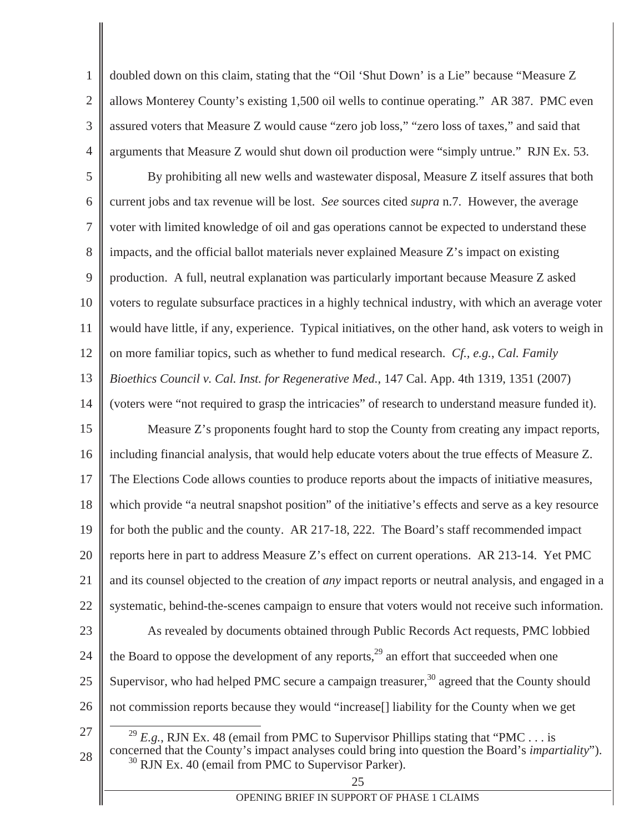1 2 3 4 doubled down on this claim, stating that the "Oil 'Shut Down' is a Lie" because "Measure Z allows Monterey County's existing 1,500 oil wells to continue operating." AR 387. PMC even assured voters that Measure Z would cause "zero job loss," "zero loss of taxes," and said that arguments that Measure Z would shut down oil production were "simply untrue." RJN Ex. 53.

5 6 7 8 9 10 11 12 13 14 15 16 17 By prohibiting all new wells and wastewater disposal, Measure Z itself assures that both current jobs and tax revenue will be lost. *See* sources cited *supra* n.7. However, the average voter with limited knowledge of oil and gas operations cannot be expected to understand these impacts, and the official ballot materials never explained Measure Z's impact on existing production. A full, neutral explanation was particularly important because Measure Z asked voters to regulate subsurface practices in a highly technical industry, with which an average voter would have little, if any, experience. Typical initiatives, on the other hand, ask voters to weigh in on more familiar topics, such as whether to fund medical research. *Cf., e.g.*, *Cal. Family Bioethics Council v. Cal. Inst. for Regenerative Med.*, 147 Cal. App. 4th 1319, 1351 (2007) (voters were "not required to grasp the intricacies" of research to understand measure funded it). Measure Z's proponents fought hard to stop the County from creating any impact reports, including financial analysis, that would help educate voters about the true effects of Measure Z. The Elections Code allows counties to produce reports about the impacts of initiative measures,

18 which provide "a neutral snapshot position" of the initiative's effects and serve as a key resource

19 for both the public and the county. AR 217-18, 222. The Board's staff recommended impact

20 21 reports here in part to address Measure Z's effect on current operations. AR 213-14. Yet PMC and its counsel objected to the creation of *any* impact reports or neutral analysis, and engaged in a

- 22 systematic, behind-the-scenes campaign to ensure that voters would not receive such information.
- 23 As revealed by documents obtained through Public Records Act requests, PMC lobbied
- 24 the Board to oppose the development of any reports, $^{29}$  an effort that succeeded when one
- 25 Supervisor, who had helped PMC secure a campaign treasurer, $30$  agreed that the County should
- 26 not commission reports because they would "increase[] liability for the County when we get
- 27 28

<sup>29</sup> *E.g.*, RJN Ex. 48 (email from PMC to Supervisor Phillips stating that "PMC... is concerned that the County's impact analyses could bring into question the Board's *impartiality*").  $30$  RJN Ex. 40 (email from PMC to Supervisor Parker).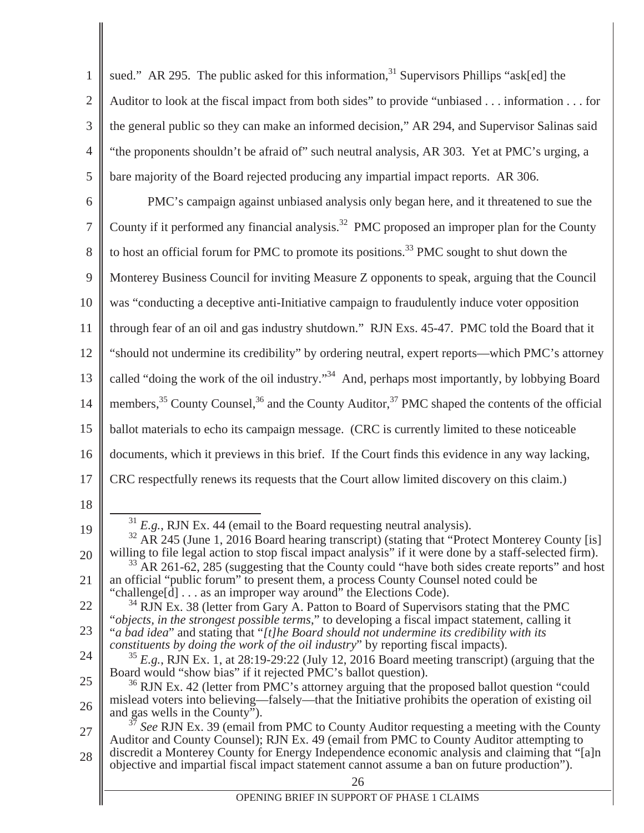| $\mathbf{1}$   | sued." AR 295. The public asked for this information, <sup>31</sup> Supervisors Phillips "ask[ed] the                                                                                                               |
|----------------|---------------------------------------------------------------------------------------------------------------------------------------------------------------------------------------------------------------------|
| $\overline{2}$ | Auditor to look at the fiscal impact from both sides" to provide "unbiased information for                                                                                                                          |
| 3              | the general public so they can make an informed decision," AR 294, and Supervisor Salinas said                                                                                                                      |
| $\overline{4}$ | "the proponents shouldn't be afraid of" such neutral analysis, AR 303. Yet at PMC's urging, a                                                                                                                       |
| 5              | bare majority of the Board rejected producing any impartial impact reports. AR 306.                                                                                                                                 |
| 6              | PMC's campaign against unbiased analysis only began here, and it threatened to sue the                                                                                                                              |
| $\overline{7}$ | County if it performed any financial analysis. <sup>32</sup> PMC proposed an improper plan for the County                                                                                                           |
| 8              | to host an official forum for PMC to promote its positions. <sup>33</sup> PMC sought to shut down the                                                                                                               |
| 9              | Monterey Business Council for inviting Measure Z opponents to speak, arguing that the Council                                                                                                                       |
| 10             | was "conducting a deceptive anti-Initiative campaign to fraudulently induce voter opposition                                                                                                                        |
| 11             | through fear of an oil and gas industry shutdown." RJN Exs. 45-47. PMC told the Board that it                                                                                                                       |
| 12             | "should not undermine its credibility" by ordering neutral, expert reports—which PMC's attorney                                                                                                                     |
| 13             | called "doing the work of the oil industry." <sup>34</sup> And, perhaps most importantly, by lobbying Board                                                                                                         |
| 14             | members, <sup>35</sup> County Counsel, <sup>36</sup> and the County Auditor, <sup>37</sup> PMC shaped the contents of the official                                                                                  |
| 15             | ballot materials to echo its campaign message. (CRC is currently limited to these noticeable                                                                                                                        |
| 16             | documents, which it previews in this brief. If the Court finds this evidence in any way lacking,                                                                                                                    |
| 17             | CRC respectfully renews its requests that the Court allow limited discovery on this claim.)                                                                                                                         |
| 18             |                                                                                                                                                                                                                     |
| 19             | $31$ E.g., RJN Ex. 44 (email to the Board requesting neutral analysis).<br>$32$ AR 245 (June 1, 2016 Board hearing transcript) (stating that "Protect Monterey County [is]                                          |
| 20             | willing to file legal action to stop fiscal impact analysis" if it were done by a staff-selected firm).<br><sup>33</sup> AR 261-62, 285 (suggesting that the County could "have both sides create reports" and host |
| 21             | an official "public forum" to present them, a process County Counsel noted could be<br>"challenge[d] as an improper way around" the Elections Code).                                                                |
| 22             | <sup>34</sup> RJN Ex. 38 (letter from Gary A. Patton to Board of Supervisors stating that the PMC                                                                                                                   |
| 23             | "objects, in the strongest possible terms," to developing a fiscal impact statement, calling it<br>"a bad idea" and stating that "[t]he Board should not undermine its credibility with its                         |
| 24             | constituents by doing the work of the oil industry" by reporting fiscal impacts).<br>$^{35}$ E.g., RJN Ex. 1, at 28:19-29:22 (July 12, 2016 Board meeting transcript) (arguing that the                             |
| 25             | Board would "show bias" if it rejected PMC's ballot question).<br><sup>36</sup> RJN Ex. 42 (letter from PMC's attorney arguing that the proposed ballot question "could                                             |
| 26             | mislead voters into believing—falsely—that the Initiative prohibits the operation of existing oil<br>and gas wells in the County").                                                                                 |
| 27             | See RJN Ex. 39 (email from PMC to County Auditor requesting a meeting with the County<br>Auditor and County Counsel); RJN Ex. 49 (email from PMC to County Auditor attempting to                                    |
| 28             | discredit a Monterey County for Energy Independence economic analysis and claiming that "[a]n<br>objective and impartial fiscal impact statement cannot assume a ban on future production").                        |
|                | 26                                                                                                                                                                                                                  |

 $\overline{\phantom{a}}$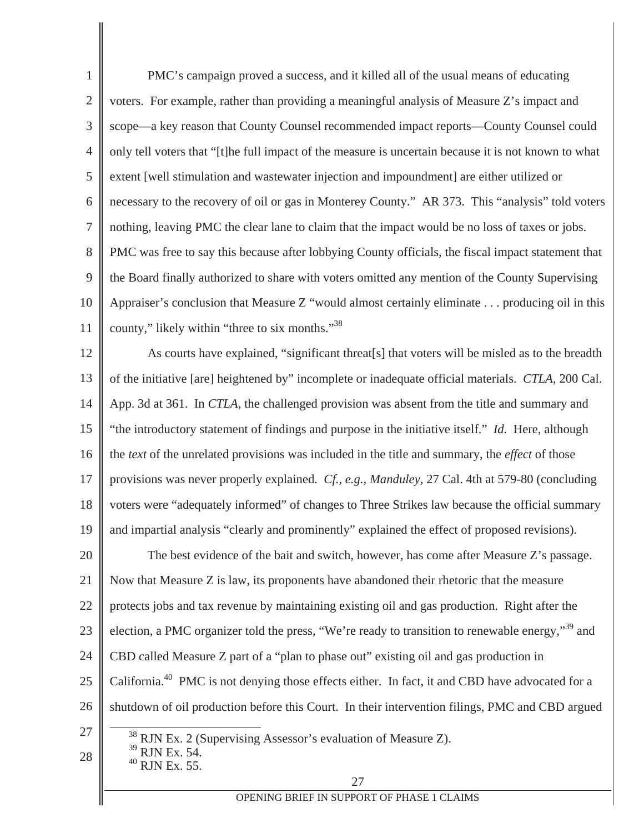1 2 3 4 5 6 7 8 9 10 11 12 PMC's campaign proved a success, and it killed all of the usual means of educating voters. For example, rather than providing a meaningful analysis of Measure Z's impact and scope—a key reason that County Counsel recommended impact reports—County Counsel could only tell voters that "[t]he full impact of the measure is uncertain because it is not known to what extent [well stimulation and wastewater injection and impoundment] are either utilized or necessary to the recovery of oil or gas in Monterey County." AR 373. This "analysis" told voters nothing, leaving PMC the clear lane to claim that the impact would be no loss of taxes or jobs. PMC was free to say this because after lobbying County officials, the fiscal impact statement that the Board finally authorized to share with voters omitted any mention of the County Supervising Appraiser's conclusion that Measure Z "would almost certainly eliminate . . . producing oil in this county," likely within "three to six months."38 As courts have explained, "significant threat[s] that voters will be misled as to the breadth

13 14 15 16 17 18 19 20 21 22 23 24 25 26 of the initiative [are] heightened by" incomplete or inadequate official materials. *CTLA*, 200 Cal. App. 3d at 361. In *CTLA*, the challenged provision was absent from the title and summary and "the introductory statement of findings and purpose in the initiative itself." *Id.* Here, although the *text* of the unrelated provisions was included in the title and summary, the *effect* of those provisions was never properly explained. *Cf., e.g.*, *Manduley*, 27 Cal. 4th at 579-80 (concluding voters were "adequately informed" of changes to Three Strikes law because the official summary and impartial analysis "clearly and prominently" explained the effect of proposed revisions). The best evidence of the bait and switch, however, has come after Measure Z's passage. Now that Measure Z is law, its proponents have abandoned their rhetoric that the measure protects jobs and tax revenue by maintaining existing oil and gas production. Right after the election, a PMC organizer told the press, "We're ready to transition to renewable energy,"39 and CBD called Measure Z part of a "plan to phase out" existing oil and gas production in California.<sup>40</sup> PMC is not denying those effects either. In fact, it and CBD have advocated for a shutdown of oil production before this Court. In their intervention filings, PMC and CBD argued

27

28

 $38$  RJN Ex. 2 (Supervising Assessor's evaluation of Measure Z).  $39$  RJN Ex. 54.

 $40$  RJN Ex. 55.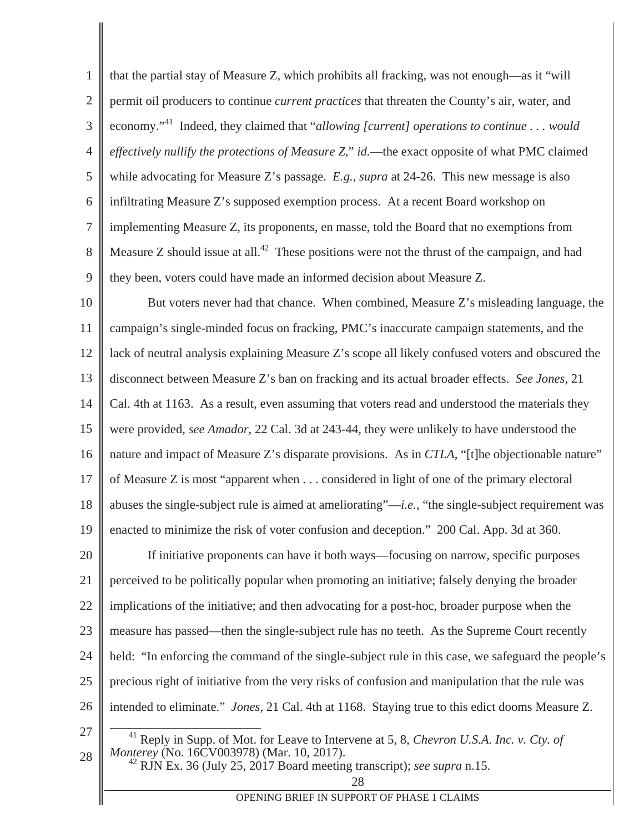1 2 3 4 5 6 7 8 9 that the partial stay of Measure Z, which prohibits all fracking, was not enough—as it "will permit oil producers to continue *current practices* that threaten the County's air, water, and economy."41 Indeed, they claimed that "*allowing [current] operations to continue . . . would effectively nullify the protections of Measure Z*," *id.*—the exact opposite of what PMC claimed while advocating for Measure Z's passage. *E.g.*, *supra* at 24-26. This new message is also infiltrating Measure Z's supposed exemption process. At a recent Board workshop on implementing Measure Z, its proponents, en masse, told the Board that no exemptions from Measure Z should issue at all.<sup>42</sup> These positions were not the thrust of the campaign, and had they been, voters could have made an informed decision about Measure Z.

10 11 12 13 14 15 16 17 18 19 20 21 22 23 24 25 26 27 28 But voters never had that chance. When combined, Measure Z's misleading language, the campaign's single-minded focus on fracking, PMC's inaccurate campaign statements, and the lack of neutral analysis explaining Measure Z's scope all likely confused voters and obscured the disconnect between Measure Z's ban on fracking and its actual broader effects. *See Jones*, 21 Cal. 4th at 1163. As a result, even assuming that voters read and understood the materials they were provided, *see Amador*, 22 Cal. 3d at 243-44, they were unlikely to have understood the nature and impact of Measure Z's disparate provisions. As in *CTLA*, "[t]he objectionable nature" of Measure Z is most "apparent when . . . considered in light of one of the primary electoral abuses the single-subject rule is aimed at ameliorating"—*i.e.*, "the single-subject requirement was enacted to minimize the risk of voter confusion and deception." 200 Cal. App. 3d at 360. If initiative proponents can have it both ways—focusing on narrow, specific purposes perceived to be politically popular when promoting an initiative; falsely denying the broader implications of the initiative; and then advocating for a post-hoc, broader purpose when the measure has passed—then the single-subject rule has no teeth. As the Supreme Court recently held: "In enforcing the command of the single-subject rule in this case, we safeguard the people's precious right of initiative from the very risks of confusion and manipulation that the rule was intended to eliminate." *Jones*, 21 Cal. 4th at 1168. Staying true to this edict dooms Measure Z. <sup>41</sup> Reply in Supp. of Mot. for Leave to Intervene at 5, 8, *Chevron U.S.A. Inc. v. Cty. of Monterey* (No. 16CV003978) (Mar. 10, 2017).

<sup>42</sup> RJN Ex. 36 (July 25, 2017 Board meeting transcript); *see supra* n.15.